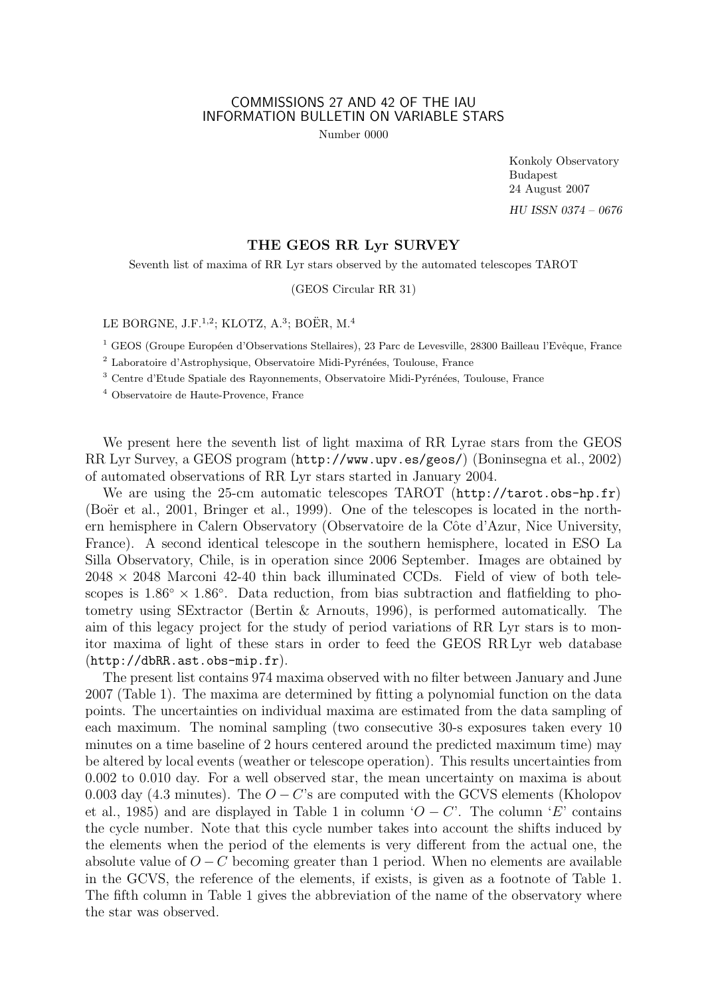## COMMISSIONS 27 AND 42 OF THE IAU INFORMATION BULLETIN ON VARIABLE STARS

Number 0000

Konkoly Observatory Budapest 24 August 2007 HU ISSN 0374 – 0676

## THE GEOS RR Lyr SURVEY

Seventh list of maxima of RR Lyr stars observed by the automated telescopes TAROT

(GEOS Circular RR 31)

LE BORGNE, J.F.<sup>1,2</sup>; KLOTZ, A.<sup>3</sup>; BOËR, M.<sup>4</sup>

<sup>1</sup> GEOS (Groupe Européen d'Observations Stellaires), 23 Parc de Levesville, 28300 Bailleau l'Evêque, France

<sup>2</sup> Laboratoire d'Astrophysique, Observatoire Midi-Pyrénées, Toulouse, France

 $3$  Centre d'Etude Spatiale des Rayonnements, Observatoire Midi-Pyrénées, Toulouse, France

<sup>4</sup> Observatoire de Haute-Provence, France

We present here the seventh list of light maxima of RR Lyrae stars from the GEOS RR Lyr Survey, a GEOS program (http://www.upv.es/geos/) (Boninsegna et al., 2002) of automated observations of RR Lyr stars started in January 2004.

We are using the 25-cm automatic telescopes TAROT (http://tarot.obs-hp.fr) (Boër et al., 2001, Bringer et al., 1999). One of the telescopes is located in the northern hemisphere in Calern Observatory (Observatoire de la Côte d'Azur, Nice University, France). A second identical telescope in the southern hemisphere, located in ESO La Silla Observatory, Chile, is in operation since 2006 September. Images are obtained by  $2048 \times 2048$  Marconi 42-40 thin back illuminated CCDs. Field of view of both telescopes is  $1.86° \times 1.86°$ . Data reduction, from bias subtraction and flatfielding to photometry using SExtractor (Bertin & Arnouts, 1996), is performed automatically. The aim of this legacy project for the study of period variations of RR Lyr stars is to monitor maxima of light of these stars in order to feed the GEOS RR Lyr web database (http://dbRR.ast.obs-mip.fr).

The present list contains 974 maxima observed with no filter between January and June 2007 (Table 1). The maxima are determined by fitting a polynomial function on the data points. The uncertainties on individual maxima are estimated from the data sampling of each maximum. The nominal sampling (two consecutive 30-s exposures taken every 10 minutes on a time baseline of 2 hours centered around the predicted maximum time) may be altered by local events (weather or telescope operation). This results uncertainties from 0.002 to 0.010 day. For a well observed star, the mean uncertainty on maxima is about 0.003 day (4.3 minutes). The  $O - C$ 's are computed with the GCVS elements (Kholopov et al., 1985) and are displayed in Table 1 in column ' $O - C'$ . The column 'E' contains the cycle number. Note that this cycle number takes into account the shifts induced by the elements when the period of the elements is very different from the actual one, the absolute value of  $O - C$  becoming greater than 1 period. When no elements are available in the GCVS, the reference of the elements, if exists, is given as a footnote of Table 1. The fifth column in Table 1 gives the abbreviation of the name of the observatory where the star was observed.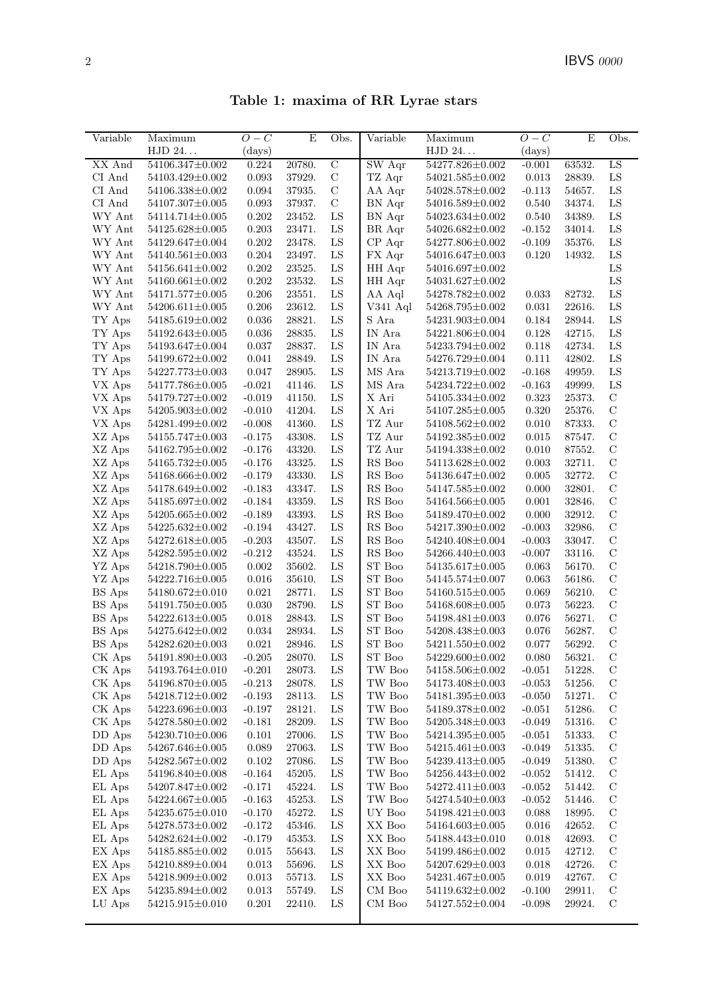Table 1: maxima of RR Lyrae stars

| Variable                              | Maximum                                  | $O-C$                | E                | Obs.             | Variable                                       | Maximum                                  | $O-C$             | E                | Obs.                           |
|---------------------------------------|------------------------------------------|----------------------|------------------|------------------|------------------------------------------------|------------------------------------------|-------------------|------------------|--------------------------------|
|                                       | ${\rm HJD}$ 24. $\ldots$                 | (days)               |                  |                  |                                                | HJD 24                                   | $\rm (days)$      |                  |                                |
| XX And                                | 54106.347±0.002                          | 0.224                | 20780.           | $\overline{C}$   | $\overline{\mathrm{SW}}$ Aqr                   | 54277.826±0.002                          | $-0.001$          | 63532.           | LS                             |
| CI And                                | 54103.429±0.002                          | 0.093                | 37929.           | $\mathbf C$      | TZ Aqr                                         | $54021.585\!\pm\!0.002$                  | 0.013             | 28839.           | ${\rm LS}$                     |
| CI And                                | 54106.338±0.002                          | 0.094                | 37935.           | $\mathbf C$      | AA Aqr                                         | $54028.578{\pm}0.002$                    | $-0.113$          | 54657.           | LS                             |
| CI And                                | $54107.307 \pm 0.005$                    | 0.093                | 37937.           | $\mathcal{C}$    | BN Aqr                                         | 54016.589±0.002                          | 0.540             | 34374.           | LS                             |
| $\hbox{WY}$ Ant                       | 54114.714±0.005                          | 0.202                | 23452.           | LS               | BN Aqr                                         | 54023.634±0.002                          | 0.540             | 34389.           | LS                             |
| WY Ant                                | 54125.628±0.005                          | 0.203                | 23471.           | LS               | BR Aqr                                         | 54026.682±0.002                          | $-0.152$          | 34014.           | LS                             |
| WY Ant                                | 54129.647±0.004                          | $0.202\,$            | 23478.           | LS               | $CP$ Aqr                                       | 54277.806±0.002                          | $-0.109$          | 35376.           | LS                             |
| WY Ant                                | $54140.561 \pm 0.003$                    | 0.204                | 23497.           | ${\rm LS}$       | FX Aqr                                         | 54016.647±0.003                          | 0.120             | 14932.           | LS                             |
| WY Ant                                | 54156.641±0.002                          | 0.202                | 23525.           | ${\rm LS}$       | HH Aqr                                         | 54016.697±0.002                          |                   |                  | LS                             |
| WY Ant                                | 54160.661±0.002                          | 0.202                | 23532.           | ${\rm LS}$       | HH Aqr                                         | 54031.627±0.002                          |                   |                  | LS                             |
| WY Ant                                | $54171.577 \pm 0.005$                    | 0.206                | 23551.           | LS               | AA Aql                                         | 54278.782±0.002                          | 0.033             | 82732.           | ${\rm LS}$                     |
| WY Ant                                | 54206.611±0.005                          | 0.206                | 23612.           | LS               | $V341$ Aql                                     | 54268.795±0.002                          | 0.031             | 22616.           | LS                             |
| TY Aps                                | 54185.619±0.002                          | 0.036                | 28821.           | ${\rm LS}$       | S Ara                                          | 54231.903±0.004                          | 0.184             | 28944.           | LS                             |
| TY Aps                                | 54192.643±0.005                          | 0.036                | 28835.           | ${\rm LS}$       | IN Ara                                         | 54221.806±0.004                          | 0.128             | 42715.           | LS                             |
| TY Aps                                | 54193.647±0.004                          | 0.037                | 28837.           | LS               | $\ensuremath{\text{\textbf{IN}}}$ Ara          | 54233.794±0.002                          | 0.118             | 42734.           | LS                             |
| $\mathcal{T}\mathcal{Y}$ Aps          | 54199.672±0.002                          | 0.041                | 28849.           | LS               | IN Ara                                         | 54276.729±0.004                          | 0.111             | 42802.           | LS                             |
| TY Aps                                | 54227.773±0.003                          | 0.047                | 28905.           | ${\rm LS}$       | $\rm MS$ Ara                                   | 54213.719±0.002                          | $-0.168$          | 49959.           | LS                             |
| VX Aps                                | 54177.786±0.005                          | $-0.021$             | 41146.           | ${\rm LS}$       | MS Ara                                         | 54234.722±0.002                          | $-0.163$          | 49999.           | LS                             |
| VX Aps                                | 54179.727±0.002                          | $-0.019$             | 41150.           | ${\rm LS}$       | X Ari                                          | 54105.334±0.002                          | 0.323             | 25373.           | $\mathcal{C}$                  |
| VX Aps                                | 54205.903±0.002                          | $-0.010$             | 41204.           | LS               | X Ari                                          | 54107.285±0.005                          | 0.320             | 25376.           | $\mathbf C$                    |
| VX Aps                                | 54281.499±0.002                          | $-0.008$             | 41360.           | ${\rm LS}$       | TZ Aur                                         | $54108.562 \pm 0.002$                    | 0.010             | 87333.           | $\mathbf C$                    |
| XZ Aps                                | $54155.747{\pm}0.003$                    | $-0.175$             | 43308.           | LS               | TZ Aur                                         | 54192.385±0.002                          | 0.015             | 87547.           | $\mathcal{C}$                  |
| XZ Aps                                | 54162.795±0.002                          | $-0.176$             | 43320.           | LS               | TZ Aur                                         | 54194.338±0.002                          | 0.010             | 87552.           | $\mathcal{C}$                  |
| XZ Aps                                | $54165.732 \pm 0.005$                    | $-0.176$             | 43325.           | ${\rm LS}$       | RS Boo                                         | 54113.628±0.002                          | 0.003             | 32711.           | $\mathcal{C}$                  |
| XZ Aps                                | 54168.666±0.002                          | $-0.179$             | 43330.           | ${\rm LS}$       | $\mathop{\rm RS}$ Boo                          | 54136.647±0.002                          | 0.005             | 32772.           | $\mathcal{C}$                  |
| XZ Aps                                | 54178.649±0.002                          | $-0.183$             | 43347.           | LS<br>LS         | $\mathop{\rm RS}$ Boo<br>$\mathop{\rm RS}$ Boo | 54147.585±0.002                          | 0.000             | 32801.           | $\mathcal{C}$<br>$\mathcal{C}$ |
| XZ Aps                                | 54185.697±0.002                          | $-0.184$             | 43359.           |                  |                                                | 54164.566±0.005                          | 0.001             | 32846.           | $\mathcal{C}$                  |
| XZ Aps<br>XZ Aps                      | $54205.665 \pm 0.002$                    | $-0.189$<br>$-0.194$ | 43393.<br>43427. | ${\rm LS}$<br>LS | RS Boo<br>RS Boo                               | 54189.470±0.002                          | 0.000<br>$-0.003$ | 32912.<br>32986. | $\mathcal{C}$                  |
|                                       | $54225.632 \pm 0.002$<br>54272.618±0.005 | $-0.203$             | 43507.           | ${\rm LS}$       | RS Boo                                         | 54217.390 $\pm$ 0.002<br>54240.408±0.004 | $-0.003$          | 33047.           | $\mathcal{C}$                  |
| XZ Aps<br>XZ Aps                      | 54282.595±0.002                          | $-0.212$             | 43524.           | ${\rm LS}$       | RS Boo                                         | $54266.440\pm0.003$                      | $-0.007$          | 33116.           | $\mathcal{C}$                  |
| ${\rm YZ}$ Aps                        | 54218.790 $\pm$ 0.005                    | 0.002                | 35602.           | LS               | ${\rm ST}$ Boo                                 | 54135.617±0.005                          | 0.063             | 56170.           | $\mathcal{C}$                  |
| YZ Aps                                | 54222.716±0.005                          | 0.016                | 35610.           | ${\rm LS}$       | ${\rm ST}$ Boo                                 | 54145.574±0.007                          | 0.063             | 56186.           | $\mathcal{C}$                  |
| BS Aps                                | $54180.672 \pm 0.010$                    | 0.021                | 28771.           | LS               | ST Boo                                         | 54160.515±0.005                          | 0.069             | 56210.           | $\mathcal{C}$                  |
| BS Aps                                | 54191.750 $\pm$ 0.005                    | 0.030                | 28790.           | LS               | ST Boo                                         | 54168.608±0.005                          | 0.073             | 56223.           | $\mathcal{C}$                  |
| $\mathop{\hbox{\rm BS}}\nolimits$ Aps | 54222.613±0.005                          | 0.018                | 28843.           | ${\rm LS}$       | ${\rm ST}$ Boo                                 | $54198.481 \pm 0.003$                    | 0.076             | 56271.           | $\mathbf C$                    |
| $\mathop{\hbox{\rm BS}}\nolimits$ Aps | $54275.642 \pm 0.002$                    | 0.034                | 28934.           | LS               | ${\rm ST}$ Boo                                 | 54208.438±0.003                          | 0.076             | 56287.           | $\mathcal{C}$                  |
| BS Aps                                | $54282.620 \pm 0.003$                    | 0.021                | 28946.           | LS               | ${\rm ST}$ Boo                                 | 54211.550±0.002                          | 0.077             | 56292.           | $\mathcal{C}$                  |
| CK Aps                                | $54191.890{\pm}0.003$                    | $-0.205$             | 28070.           | ${\rm LS}$       | ${\rm ST}$ Boo                                 | $54229.600 \pm 0.002$                    | $0.080\,$         | 56321.           | $\mathbf C$                    |
| CK Aps                                | 54193.764±0.010                          | $-0.201$             | 28073.           | LS               | TW Boo                                         | 54158.506±0.002                          | $-0.051$          | 51228.           | $\mathcal{C}$                  |
| CK Aps                                | 54196.870±0.005                          | $-0.213$             | 28078.           | LS               | TW Boo                                         | 54173.408±0.003                          | $-0.053$          | 51256.           | $\mathcal{C}$                  |
| CK Aps                                | 54218.712±0.002                          | $-0.193$             | 28113.           | LS               | TW Boo                                         | 54181.395±0.003                          | $-0.050$          | 51271.           | $\mathcal{C}$                  |
| CK Aps                                | 54223.696±0.003                          | $-0.197$             | 28121.           | ${\rm LS}$       | $\operatorname{TW}$ Boo                        | 54189.378±0.002                          | $-0.051$          | 51286.           | $\mathcal{C}$                  |
| CK Aps                                | 54278.580±0.002                          | $-0.181$             | 28209.           | ${\rm LS}$       | $\operatorname{TW}$ Boo                        | 54205.348±0.003                          | $-0.049$          | 51316.           | $\mathcal{C}$                  |
| DD Aps                                | 54230.710±0.006                          | 0.101                | 27006.           | LS               | TW Boo                                         | 54214.395±0.005                          | $-0.051$          | 51333.           | $\mathcal{C}$                  |
| DD Aps                                | 54267.646±0.005                          | 0.089                | 27063.           | ${\rm LS}$       | TW Boo                                         | 54215.461±0.003                          | $-0.049$          | 51335.           | $\mathcal{C}$                  |
| DD Aps                                | 54282.567±0.002                          | 0.102                | 27086.           | ${\rm LS}$       | TW Boo                                         | 54239.413±0.005                          | $-0.049$          | 51380.           | $\mathcal{C}$                  |
| EL Aps                                | 54196.840±0.008                          | $-0.164$             | 45205.           | LS               | TW Boo                                         | 54256.443±0.002                          | $-0.052$          | 51412.           | $\mathcal{C}$                  |
| EL Aps                                | 54207.847±0.002                          | $-0.171$             | 45224.           | LS               | TW Boo                                         | 54272.411±0.003                          | $-0.052$          | 51442.           | $\mathcal{C}$                  |
| EL Aps                                | 54224.667±0.005                          | $-0.163$             | 45253.           | LS               | TW Boo                                         | 54274.540±0.003                          | $-0.052$          | 51446.           | $\mathcal{C}$                  |
| EL Aps                                | 54235.675±0.010                          | $-0.170$             | 45272.           | LS               | UY Boo                                         | 54198.421±0.003                          | 0.088             | 18995.           | $\mathcal{C}$                  |
| EL Aps                                | 54278.573±0.002                          | $-0.172$             | 45346.           | LS               | XX Boo                                         | 54164.603±0.005                          | 0.016             | 42652.           | $\mathcal{C}$                  |
| EL Aps                                | 54282.624±0.002                          | $-0.179$             | 45353.           | LS               | XX Boo                                         | 54188.443±0.010                          | 0.018             | 42693.           | $\mathcal{C}$                  |
| EX Aps                                | 54185.885±0.002                          | 0.015                | 55643.           | ${\rm LS}$       | XX Boo                                         | 54199.486±0.002                          | 0.015             | 42712.           | $\mathcal{C}$                  |
| EX Aps                                | 54210.889±0.004                          | 0.013                | 55696.           | ${\rm LS}$       | XX Boo                                         | 54207.629±0.003                          | 0.018             | 42726.           | $\mathcal{C}$                  |
| EX Aps                                | 54218.909±0.002                          | 0.013                | 55713.           | ${\rm LS}$       | XX Boo                                         | 54231.467±0.005                          | 0.019             | 42767.           | $\mathcal{C}$                  |
| EX Aps                                | 54235.894±0.002                          | 0.013                | 55749.           | LS               | CM Boo                                         | 54119.632±0.002                          | $-0.100$          | 29911.           | $\mathcal{C}$                  |
| LU Aps                                | 54215.915±0.010                          | $0.201\,$            | 22410.           | ${\rm LS}$       | CM Boo                                         | 54127.552±0.004                          | $-0.098$          | 29924.           | $\mathcal{C}$                  |
|                                       |                                          |                      |                  |                  |                                                |                                          |                   |                  |                                |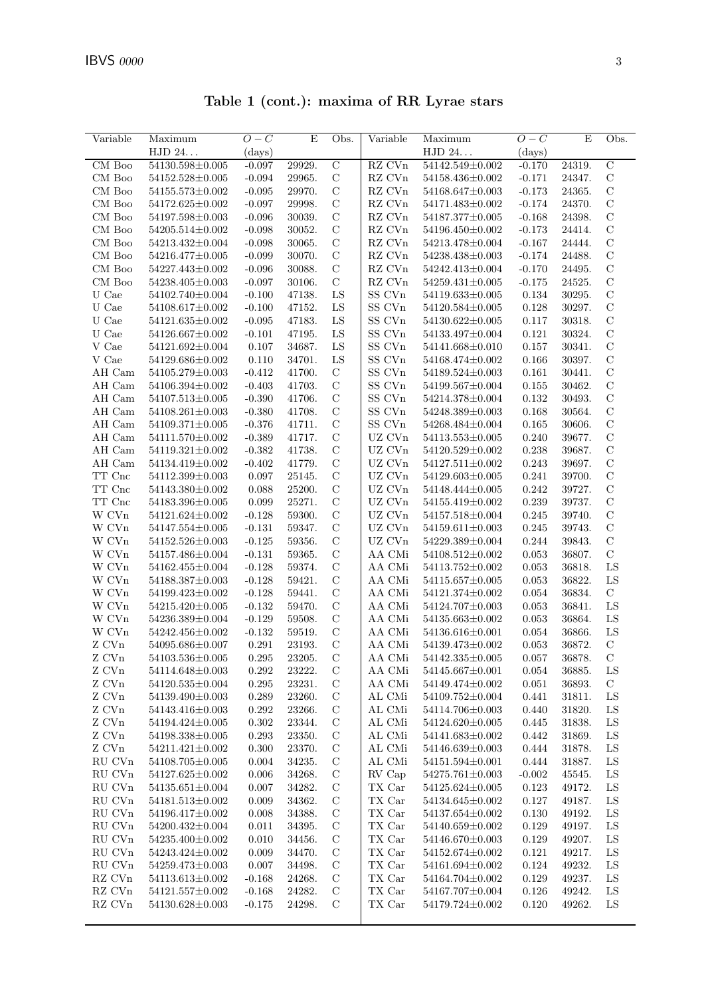| $\overline{\text{Variable}}$   | Maximum                                        | $O-C$                | Е                | Obs.                         | Variable                       | Maximum                            | $O-C$          | E                | Obs.                       |
|--------------------------------|------------------------------------------------|----------------------|------------------|------------------------------|--------------------------------|------------------------------------|----------------|------------------|----------------------------|
|                                | HJD 24                                         | (days)               |                  |                              |                                | ${\rm HJD}$ 24. $\ldots$           | (days)         |                  |                            |
| CM Boo                         | 54130.598±0.005                                | $-0.097$             | 29929.           | $\overline{C}$               | RZ CVn                         | 54142.549±0.002                    | $-0.170$       | 24319.           | $\overline{C}$             |
| CM Boo                         | $54152.528 \pm 0.005$                          | $-0.094$             | 29965.           | $\mathbf C$                  | $\mathbf{R}\mathbf{Z}$ CVn     | 54158.436±0.002                    | $-0.171$       | 24347.           | $\mathbf C$                |
| CM Boo                         | $54155.573{\pm}0.002$                          | $-0.095$             | 29970.           | $\mathbf C$                  | RZ CVn                         | $54168.647 \pm 0.003$              | $-0.173$       | 24365.           | $\mathcal{C}$              |
| CM Boo                         | $54172.625 \pm 0.002$                          | $-0.097$             | 29998.           | $\mathcal{C}$                | $\mathbf{R}\mathbf{Z}$ CVn     | 54171.483±0.002                    | $-0.174$       | 24370.           | $\mathcal{C}$              |
| CM Boo                         | 54197.598±0.003                                | $-0.096$             | 30039.           | $\mathcal C$                 | RZ CVn                         | $54187.377 \pm 0.005$              | $-0.168$       | 24398.           | $\mathbf C$                |
| CM Boo                         | $54205.514 \pm 0.002$                          | $-0.098$             | 30052.           | $\mathbf C$                  | RZ CVn                         | 54196.450±0.002                    | $-0.173$       | 24414.           | $\mathbf C$                |
| CM Boo                         | 54213.432±0.004                                | $-0.098$             | 30065.           | $\mathcal C$                 | $\mathop{\mathrm{RZ}}$ CVn     | 54213.478±0.004                    | $-0.167$       | 24444.           | $\mathbf C$                |
| CM Boo                         | 54216.477±0.005                                | $-0.099$             | 30070.           | $\mathbf C$                  | $\mathop{\mathrm{RZ}}$ CVn     | 54238.438±0.003                    | $-0.174$       | 24488.           | $\mathbf C$                |
| CM Boo                         | 54227.443±0.002                                | $-0.096$             | 30088.           | $\mathbf C$                  | RZ CVn                         | 54242.413±0.004                    | $-0.170$       | 24495.           | $\mathcal{C}$              |
| CM Boo                         | 54238.405±0.003                                | $-0.097$             | 30106.           | $\mathbf C$                  | RZ CVn                         | $54259.431 \pm 0.005$              | $-0.175$       | 24525.           | $\mathcal{C}$              |
| U Cae                          | 54102.740±0.004                                | $-0.100$             | 47138.           | LS                           | SS CVn                         | 54119.633±0.005                    | 0.134          | 30295.           | $\mathbf C$                |
| ${\cal U}$ Cae                 | 54108.617±0.002                                | $-0.100$             | 47152.           | ${\rm LS}$                   | SS CVn                         | 54120.584±0.005                    | $0.128\,$      | 30297.           | $\mathcal{C}$              |
| ${\cal U}$ Cae                 | $54121.635 \pm 0.002$                          | $-0.095$             | 47183.           | ${\rm LS}$                   | SS CVn                         | 54130.622±0.005                    | 0.117          | 30318.           | $\mathbf C$                |
| U Cae                          | $54126.667 \pm 0.002$                          | $-0.101$             | 47195.           | LS                           | SS CVn                         | 54133.497±0.004                    | 0.121          | 30324.           | $\mathbf C$                |
| V Cae                          | $54121.692 \pm 0.004$                          | 0.107                | 34687.           | ${\rm LS}$                   | SS CVn                         | 54141.668±0.010                    | 0.157          | 30341.           | $\mathcal{C}$              |
| V Cae                          | 54129.686±0.002                                | 0.110                | 34701.           | ${\rm LS}$                   | SS CVn                         | 54168.474±0.002                    | 0.166          | 30397.           | $\mathbf C$                |
| $\mathop{\rm AH}\nolimits$ Cam | $54105.279 \pm 0.003$                          | $-0.412$             | 41700.           | $\mathcal{C}$                | SS CVn                         | $54189.524\pm0.003$                | 0.161          | 30441.           | $\mathbf C$                |
| AH Cam                         | 54106.394±0.002                                | $-0.403$             | 41703.           | $\mathcal{C}$                | $SS$ $\rm CVn$                 | 54199.567±0.004                    | 0.155          | 30462.           | $\mathbf C$                |
| AH Cam                         | $54107.513 \pm 0.005$                          | $-0.390$             | 41706.           | $\mathcal{C}$                | SS CVn                         | 54214.378±0.004                    | 0.132          | 30493.           | $\mathbf C$                |
| AH Cam                         | $54108.261 \pm 0.003$                          | $-0.380$             | 41708.           | $\mathbf C$                  | SS CVn                         | 54248.389±0.003                    | 0.168          | 30564.           | $\mathbf C$                |
| AH Cam                         | 54109.371±0.005                                | $-0.376$             | 41711.           | $\mathcal C$                 | SS CVn                         | 54268.484±0.004                    | 0.165          | 30606.           | $\mathcal{C}$              |
| AH Cam                         | 54111.570±0.002                                | $-0.389$             | 41717.           | $\mathcal{C}$                | UZ CVn                         | $54113.553 \pm 0.005$              | 0.240          | 39677.           | $\mathcal{C}$              |
| AH Cam                         | $54119.321 \pm 0.002$                          | $-0.382$             | 41738.           | $\mathbf C$                  | UZ CVn                         | 54120.529±0.002                    | 0.238          | 39687.           | $\mathbf C$                |
| AH Cam                         | 54134.419±0.002                                | $-0.402$             | 41779.           | $\mathbf C$                  | $UZ$ $\mathrm{C Vn}$           | 54127.511±0.002                    | 0.243          | 39697.           | $\mathcal{C}$              |
| TT Cnc                         | 54112.399±0.003                                | 0.097                | 25145.           | $\mathcal C$                 | $UZ$ $\mathrm{C Vn}$           | $54129.603{\pm}0.005$              | 0.241          | 39700.           | $\mathbf C$                |
| TT Cnc                         | 54143.380±0.002                                | 0.088                | 25200.           | $\mathbf C$                  | $UZ$ $\mathrm{C Vn}$           | 54148.444±0.005                    | 0.242          | 39727.           | $\mathbf C$                |
| TT Cnc                         | 54183.396±0.005                                | 0.099                | 25271.           | $\mathcal{C}$                | $UZ$ $\mathrm{C Vn}$           | 54155.419±0.002                    | 0.239          | 39737.           | $\mathcal{C}$              |
| W CVn                          | 54121.624±0.002                                | $-0.128$             | 59300.           | $\mathcal C$                 | UZ CVn                         | 54157.518±0.004                    | 0.245          | 39740.           | $\mathbf C$<br>$\mathbf C$ |
| W CVn<br>W CVn                 | $54147.554 \pm 0.005$<br>$54152.526 \pm 0.003$ | $-0.131$<br>$-0.125$ | 59347.<br>59356. | $\mathbf C$<br>$\mathcal{C}$ | UZ CVn<br>$UZ$ $\mathrm{C Vn}$ | 54159.611±0.003<br>54229.389±0.004 | 0.245<br>0.244 | 39743.<br>39843. | $\mathbf C$                |
| W CVn                          | 54157.486±0.004                                | $-0.131$             | 59365.           | $\mathcal{C}$                | AA CMi                         | 54108.512±0.002                    | 0.053          | 36807.           | $\mathbf C$                |
| W CVn                          | 54162.455±0.004                                | $-0.128$             | 59374.           | $\mathcal{C}$                | AA CMi                         | $54113.752{\pm}0.002$              | 0.053          | 36818.           | ${\rm LS}$                 |
| W CVn                          | 54188.387±0.003                                | $-0.128$             | 59421.           | $\mathcal C$                 | AA CMi                         | $54115.657{\pm}0.005$              | 0.053          | 36822.           | LS                         |
| W CVn                          | 54199.423±0.002                                | $-0.128$             | 59441.           | $\mathcal C$                 | AA CMi                         | 54121.374±0.002                    | 0.054          | 36834.           | $\mathbf C$                |
| W CVn                          | 54215.420±0.005                                | $-0.132$             | 59470.           | $\mathbf C$                  | AA CMi                         | 54124.707±0.003                    | 0.053          | 36841.           | ${\rm LS}$                 |
| W CVn                          | $54236.389 \pm 0.004$                          | $-0.129$             | 59508.           | $\mathbf C$                  | AA CMi                         | 54135.663±0.002                    | 0.053          | 36864.           | LS                         |
| W CVn                          | 54242.456±0.002                                | $-0.132$             | 59519.           | $\mathbf C$                  | AA CMi                         | $54136.616 \pm 0.001$              | 0.054          | 36866.           | ${\rm LS}$                 |
| Z CVn                          | 54095.686±0.007                                | 0.291                | 23193.           | $\mathbf C$                  | AA CMi                         | 54139.473±0.002                    | 0.053          | 36872.           | $\mathbf C$                |
| Z CVn                          | 54103.536±0.005                                | 0.295                | 23205.           | $\mathcal{C}$                | AA CMi                         | 54142.335±0.005                    | 0.057          | 36878            | $\mathcal{C}$              |
| ${\rm Z}$ CVn                  | 54114.648±0.003                                | 0.292                | 23222.           | $\mathcal C$                 | AA CMi                         | 54145.667±0.001                    | 0.054          | 36885.           | ${\rm LS}$                 |
| ${\rm Z}$ CVn                  | $54120.535 \pm 0.004$                          | $0.295\,$            | 23231.           | $\mathbf C$                  | AA CMi                         | 54149.474±0.002                    | $\,0.051\,$    | 36893.           | $\mathbf C$                |
| Z CVn                          | 54139.490±0.003                                | 0.289                | 23260.           | $\mathbf C$                  | $\mathrm{AL}$ CMi              | 54109.752±0.004                    | 0.441          | 31811.           | ${\rm LS}$                 |
| ${\rm Z}$ CVn                  | 54143.416±0.003                                | 0.292                | 23266.           | $\mathcal{C}$                | AL CMi                         | 54114.706±0.003                    | 0.440          | 31820.           | ${\rm LS}$                 |
| ${\rm Z}$ CVn                  | 54194.424±0.005                                | 0.302                | 23344.           | $\mathcal{C}$                | AL CMi                         | 54124.620±0.005                    | 0.445          | 31838.           | $_{\rm LS}$                |
| Z CVn                          | 54198.338±0.005                                | 0.293                | 23350.           | $\mathcal{C}$                | AL CMi                         | 54141.683±0.002                    | 0.442          | 31869.           | ${\rm LS}$                 |
| ${\rm Z}$ CVn                  | 54211.421±0.002                                | 0.300                | 23370.           | $\mathcal{C}$                | AL CMi                         | 54146.639±0.003                    | 0.444          | 31878.           | ${\rm LS}$                 |
| RU CVn                         | 54108.705±0.005                                | 0.004                | 34235.           | $\mathbf C$                  | AL CMi                         | 54151.594±0.001                    | 0.444          | 31887.           | ${\rm LS}$                 |
| RU CVn                         | $54127.625 \pm 0.002$                          | 0.006                | 34268.           | $\mathbf C$                  | RV Cap                         | $54275.761{\pm}0.003$              | $-0.002$       | 45545.           | LS                         |
| RU CVn                         | $54135.651 \pm 0.004$                          | 0.007                | 34282.           | $\mathcal{C}$                | TX Car                         | $54125.624\pm0.005$                | 0.123          | 49172.           | LS                         |
| RU CVn                         | $54181.513\pm0.002$                            | 0.009                | 34362.           | $\mathcal{C}$                | $\mathcal{T}\mathcal{X}$ Car   | 54134.645±0.002                    | 0.127          | 49187.           | ${\rm LS}$                 |
| RU CVn                         | 54196.417±0.002                                | 0.008                | 34388.           | $\mathcal{C}$                | $\mathcal{T}\mathcal{X}$ Car   | 54137.654±0.002                    | 0.130          | 49192.           | LS                         |
| RU CVn                         | $54200.432 \pm 0.004$                          | 0.011                | 34395.           | $\mathbf C$                  | TX Car                         | 54140.659±0.002                    | 0.129          | 49197.           | ${\rm LS}$                 |
| ${\rm RU}$ CVn                 | 54235.400±0.002                                | 0.010                | 34456.           | $\mathbf C$                  | $\mathcal{T}\mathcal{X}$ Car   | 54146.670±0.003                    | 0.129          | 49207.           | LS                         |
| RU CVn                         | 54243.424±0.002                                | 0.009                | 34470.           | $\mathbf C$                  | $\mathcal{T}\mathcal{X}$ Car   | 54152.674±0.002                    | 0.121          | 49217.           | LS                         |
| ${\rm RU}$ CVn                 | 54259.473±0.003                                | 0.007                | 34498.           | $\mathcal{C}$                | $\mathcal{T}\mathcal{X}$ Car   | 54161.694±0.002                    | 0.124          | 49232.           | LS                         |
| RZ CVn                         | $54113.613{\pm}0.002$                          | $-0.168$             | 24268.           | $\mathcal{C}$                | TX Car                         | 54164.704±0.002                    | 0.129          | 49237.           | ${\rm LS}$                 |
| RZ CVn                         | $54121.557 \pm 0.002$                          | $-0.168$             | 24282.           | $\mathcal{C}$                | TX Car                         | 54167.707±0.004                    | 0.126          | 49242.           | $_{\rm LS}$                |
| RZ CVn                         | 54130.628±0.003                                | $-0.175$             | 24298.           | $\mathcal{C}$                | $\mathcal{T}\mathcal{X}$ Car   | 54179.724±0.002                    | 0.120          | 49262.           | $_{\rm LS}$                |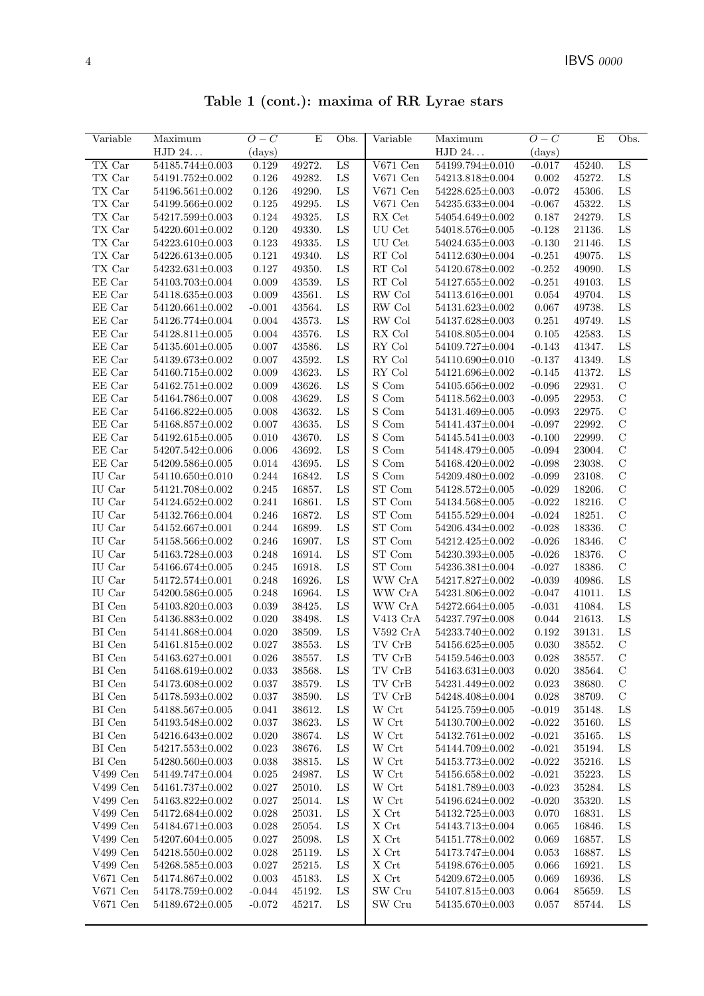Table 1 (cont.): maxima of RR Lyrae stars

| Variable              | Maximum               | $O-C$        | E      | Obs.       | Variable                                 | Maximum                                  | $O-C$     | E                | Obs.                           |
|-----------------------|-----------------------|--------------|--------|------------|------------------------------------------|------------------------------------------|-----------|------------------|--------------------------------|
|                       | HJD 24                | $\rm (days)$ |        |            |                                          | HJD 24                                   | (days)    |                  |                                |
| TX Car                | 54185.744±0.003       | 0.129        | 49272. | LS         | $V671$ Cen                               | 54199.794±0.010                          | $-0.017$  | 45240.           | LS                             |
| TX Car                | 54191.752±0.002       | 0.126        | 49282. | ${\rm LS}$ | $\rm V671$ Cen                           | 54213.818±0.004                          | 0.002     | 45272.           | LS                             |
| TX Car                | $54196.561 \pm 0.002$ | 0.126        | 49290. | ${\rm LS}$ | $V671$ Cen                               | 54228.625±0.003                          | $-0.072$  | 45306.           | LS                             |
| TX Car                | 54199.566±0.002       | 0.125        | 49295. | ${\rm LS}$ | $\rm V671$ Cen                           | $54235.633\pm0.004$                      | $-0.067$  | 45322.           | LS                             |
| TX Car                | 54217.599±0.003       | 0.124        | 49325. | LS         | RX Cet                                   | 54054.649±0.002                          | 0.187     | 24279.           | ${\rm LS}$                     |
|                       |                       |              |        |            |                                          |                                          |           |                  |                                |
| TX Car                | $54220.601 \pm 0.002$ | 0.120        | 49330. | LS         | UU Cet                                   | 54018.576±0.005                          | $-0.128$  | 21136.           | LS                             |
| TX Car                | 54223.610±0.003       | 0.123        | 49335. | ${\rm LS}$ | UU Cet                                   | $54024.635 \pm 0.003$                    | $-0.130$  | 21146.           | LS                             |
| TX Car                | $54226.613 \pm 0.005$ | 0.121        | 49340. | ${\rm LS}$ | $\mathop{\rm RT}$ Col                    | 54112.630±0.004                          | $-0.251$  | 49075.           | LS                             |
| TX Car                | $54232.631 \pm 0.003$ | 0.127        | 49350. | ${\rm LS}$ | $\mathop{\rm RT}$ Col                    | 54120.678±0.002                          | $-0.252$  | 49090.           | LS                             |
| EE Car                | 54103.703±0.004       | 0.009        | 43539. | LS         | $\mathop{\rm RT}$ Col                    | 54127.655±0.002                          | $-0.251$  | 49103.           | LS                             |
| EE Car                | 54118.635±0.003       | 0.009        | 43561. | LS         | RW Col                                   | 54113.616±0.001                          | 0.054     | 49704.           | LS                             |
| EE Car                | $54120.661 \pm 0.002$ | $-0.001$     | 43564. | LS         | RW Col                                   | $54131.623 \pm 0.002$                    | 0.067     | 49738.           | ${\rm LS}$                     |
| EE Car                | 54126.774±0.004       | 0.004        | 43573. | ${\rm LS}$ | RW Col                                   | $54137.628 \pm 0.003$                    | 0.251     | 49749.           | LS                             |
| EE Car                | $54128.811 \pm 0.005$ | 0.004        | 43576. | LS         | RX Col                                   | 54108.805±0.004                          | 0.105     | 42583.           | LS                             |
| EE Car                | $54135.601 \pm 0.005$ | 0.007        | 43586. | ${\rm LS}$ | RY Col                                   | $54109.727 \pm 0.004$                    | $-0.143$  | 41347.           | ${\rm LS}$                     |
| EE Car                | 54139.673±0.002       | 0.007        | 43592. | LS         | RY Col                                   | 54110.690±0.010                          | $-0.137$  | 41349.           | LS                             |
| EE Car                | 54160.715±0.002       | 0.009        | 43623. | LS         | RY Col                                   | 54121.696±0.002                          | $-0.145$  | 41372.           | LS                             |
| EE Car                | $54162.751 \pm 0.002$ | 0.009        | 43626. | LS         | S Com                                    | 54105.656±0.002                          | $-0.096$  | 22931.           | $\mathbf C$                    |
| EE Car                | 54164.786±0.007       | 0.008        | 43629. | ${\rm LS}$ | S Com                                    | $54118.562 \pm 0.003$                    | $-0.095$  | 22953.           | $\mathcal{C}$                  |
| EE Car                | 54166.822±0.005       | 0.008        | 43632. | LS         | $\mathcal S$ Com                         | 54131.469±0.005                          | $-0.093$  | 22975.           | $\mathbf C$                    |
| EE Car                | 54168.857±0.002       | 0.007        | 43635. | LS         | S Com                                    | 54141.437±0.004                          | $-0.097$  | 22992.           | $\mathbf C$                    |
| EE Car                | 54192.615±0.005       | 0.010        | 43670. | LS         | $\mathcal S$ Com                         | $54145.541 \pm 0.003$                    | $-0.100$  | 22999.           | $\mathcal{C}$                  |
| EE Car                | 54207.542±0.006       | 0.006        | 43692. | LS         | S Com                                    | 54148.479±0.005                          | $-0.094$  | 23004.           | $\mathcal{C}$                  |
| EE Car                | 54209.586±0.005       | 0.014        | 43695. | LS         | S Com                                    | 54168.420±0.002                          | $-0.098$  | 23038.           | $\mathbf C$                    |
| IU Car                | $54110.650 \pm 0.010$ | 0.244        | 16842. | LS         | S Com                                    | 54209.480±0.002                          | $-0.099$  | 23108.           | $\mathbf C$                    |
| IU Car                | 54121.708±0.002       | 0.245        | 16857. | ${\rm LS}$ | ST Com                                   | $54128.572 \pm 0.005$                    | $-0.029$  | 18206.           | $\mathbf C$                    |
| IU Car                | 54124.652±0.002       | 0.241        | 16861. | ${\rm LS}$ | ${\rm ST}$ Com                           | $54134.568 \pm 0.005$                    | $-0.022$  | 18216.           | $\mathbf C$                    |
| IU Car                | 54132.766±0.004       | 0.246        | 16872. | LS         | ST Com                                   | $54155.529 \pm 0.004$                    | $-0.024$  | 18251.           | $\mathbf C$                    |
| IU Car                | 54152.667±0.001       | 0.244        | 16899. | LS         | ST Com                                   | 54206.434±0.002                          | $-0.028$  | 18336.           | $\mathbf C$                    |
| IU Car                | 54158.566±0.002       | 0.246        | 16907. | ${\rm LS}$ | ST Com                                   | 54212.425±0.002                          | $-0.026$  | 18346.           | $\mathcal{C}$                  |
| IU Car                | 54163.728±0.003       | 0.248        | 16914. | ${\rm LS}$ | ${\rm ST}$ Com                           | $54230.393\pm0.005$                      | $-0.026$  | 18376.           | $\mathcal{C}$                  |
| IU Car                | 54166.674±0.005       | 0.245        | 16918. | LS         | ST Com                                   | 54236.381±0.004                          | $-0.027$  | 18386.           | $\mathcal{C}$                  |
| IU Car                | 54172.574±0.001       | 0.248        | 16926. | LS         | WW CrA                                   | $54217.827 \pm 0.002$                    | $-0.039$  | 40986.           | LS                             |
| IU Car                | $54200.586 \pm 0.005$ | 0.248        | 16964. | LS         | WW CrA                                   | 54231.806±0.002                          | $-0.047$  | 41011.           | LS                             |
| BI Cen                | 54103.820±0.003       | 0.039        | 38425. | LS         | WW CrA                                   | 54272.664±0.005                          | $-0.031$  | 41084.           | LS                             |
| BI Cen                | 54136.883±0.002       | 0.020        | 38498. | LS         | V413 CrA                                 | 54237.797±0.008                          | 0.044     | 21613.           | LS                             |
| $\rm BI$ Cen          | 54141.868±0.004       | 0.020        | 38509. | ${\rm LS}$ | V592 CrA                                 | 54233.740±0.002                          | 0.192     | 39131.           | LS                             |
| BI Cen                | 54161.815±0.002       | 0.027        | 38553. | ${\rm LS}$ | TV CrB                                   | $54156.625 \pm 0.005$                    | 0.030     | 38552.           | $\mathbf C$                    |
|                       | $54163.627{\pm}0.001$ | $\,0.026\,$  | 38557. | ${\rm LS}$ | $\operatorname{TV}$ $\operatorname{CrB}$ |                                          |           | 38557.           | $\mathbf C$                    |
| BI Cen                |                       |              |        |            |                                          | $54159.546\!\pm\!0.003$                  | $0.028\,$ |                  |                                |
| BI Cen                | 54168.619±0.002       | 0.033        | 38568. | LS         | TV CrB                                   | $54163.631 \pm 0.003$<br>54231.449±0.002 | 0.020     | 38564.<br>38680. | $\mathcal{C}$                  |
| BI Cen                | 54173.608±0.002       | 0.037        | 38579. | LS         | TV CrB                                   |                                          | 0.023     |                  | $\mathcal{C}$<br>$\mathcal{C}$ |
| $\mathop{\rm BI}$ Cen | 54178.593±0.002       | 0.037        | 38590. | LS         | TV CrB                                   | 54248.408±0.004                          | 0.028     | 38709.           |                                |
| BI Cen                | 54188.567±0.005       | 0.041        | 38612. | LS         | W Crt                                    | 54125.759±0.005                          | $-0.019$  | 35148.           | LS                             |
| BI Cen                | 54193.548±0.002       | 0.037        | 38623. | LS         | W Crt                                    | 54130.700±0.002                          | $-0.022$  | 35160.           | LS                             |
| BI Cen                | 54216.643±0.002       | 0.020        | 38674. | LS         | W Crt                                    | $54132.761 \pm 0.002$                    | $-0.021$  | 35165.           | LS                             |
| BI Cen                | 54217.553±0.002       | 0.023        | 38676. | LS         | W Crt                                    | 54144.709±0.002                          | $-0.021$  | 35194.           | LS                             |
| BI Cen                | 54280.560±0.003       | 0.038        | 38815. | LS         | W Crt                                    | 54153.773±0.002                          | $-0.022$  | 35216.           | LS                             |
| V499 Cen              | 54149.747±0.004       | 0.025        | 24987. | LS         | W Crt                                    | 54156.658±0.002                          | $-0.021$  | 35223.           | LS                             |
| V499 Cen              | 54161.737±0.002       | 0.027        | 25010. | LS         | W Crt                                    | 54181.789±0.003                          | $-0.023$  | 35284.           | LS                             |
| V499 Cen              | 54163.822±0.002       | 0.027        | 25014. | LS         | W Crt                                    | 54196.624±0.002                          | $-0.020$  | 35320.           | LS                             |
| V499 Cen              | 54172.684±0.002       | 0.028        | 25031. | LS         | X Crt                                    | 54132.725±0.003                          | 0.070     | 16831.           | LS                             |
| V499 Cen              | 54184.671±0.003       | 0.028        | 25054. | LS         | X Crt                                    | 54143.713±0.004                          | 0.065     | 16846.           | LS                             |
| V499 Cen              | 54207.604±0.005       | 0.027        | 25098. | LS         | $\mathbf X$ Crt                          | 54151.778±0.002                          | 0.069     | 16857.           | LS                             |
| V499 Cen              | 54218.550±0.002       | 0.028        | 25119. | LS         | $\mathbf X$ Crt                          | 54173.747±0.004                          | 0.053     | 16887.           | LS                             |
| V499 Cen              | 54268.585±0.003       | 0.027        | 25215. | LS         | $\mathbf X$ Crt                          | 54198.676±0.005                          | 0.066     | 16921.           | LS                             |
| $V671$ Cen            | 54174.867±0.002       | 0.003        | 45183. | LS         | $\mathbf X$ Crt                          | 54209.672±0.005                          | 0.069     | 16936.           | LS                             |
| $V671$ Cen            | 54178.759±0.002       | $-0.044$     | 45192. | LS         | SW Cru                                   | 54107.815±0.003                          | 0.064     | 85659.           | LS                             |
| $V671$ Cen            | 54189.672±0.005       | $-0.072$     | 45217. | LS         | SW Cru                                   | 54135.670±0.003                          | 0.057     | 85744.           | LS                             |
|                       |                       |              |        |            |                                          |                                          |           |                  |                                |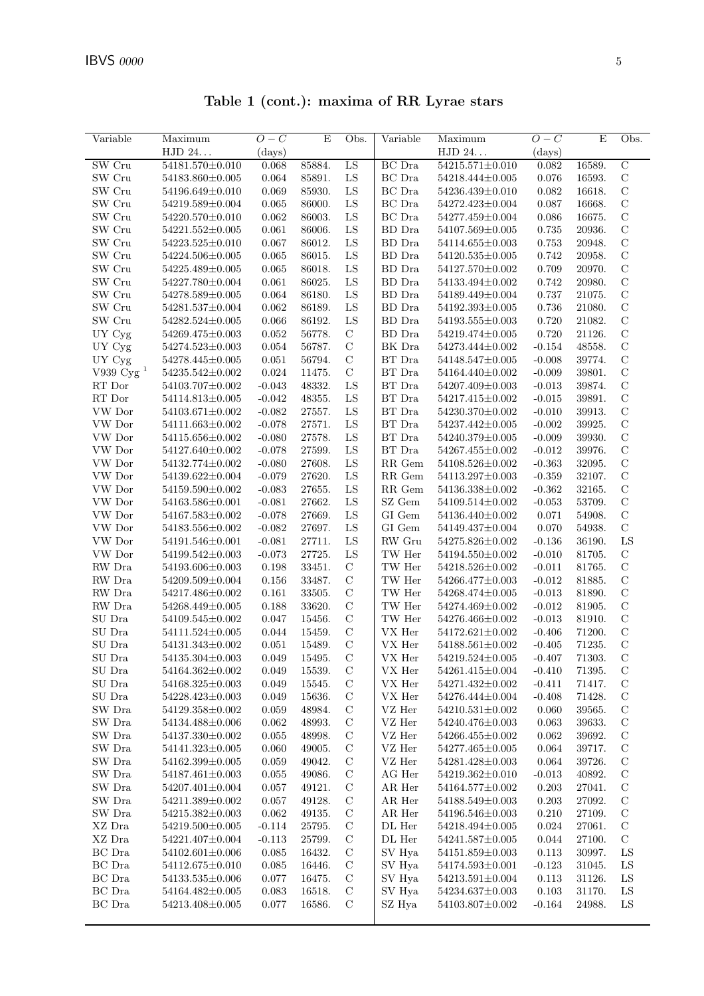| Variable                            | Maximum                                  | $O-C$          | $\mathbf E$      | Obs.                         | Variable                       | Maximum                                  | $O-C$                | E                | Obs.                           |
|-------------------------------------|------------------------------------------|----------------|------------------|------------------------------|--------------------------------|------------------------------------------|----------------------|------------------|--------------------------------|
|                                     | HJD 24                                   | (days)         |                  |                              |                                | HJD 24                                   | (days)               |                  |                                |
| SW Cru                              | 54181.570±0.010                          | 0.068          | 85884.           | LS                           | <b>BC</b> Dra                  | 54215.571±0.010                          | 0.082                | 16589.           | $\overline{C}$                 |
| SW Cru                              | 54183.860±0.005                          | 0.064          | 85891.           | ${\rm LS}$                   | BC Dra                         | 54218.444±0.005                          | 0.076                | 16593.           | $\mathbf C$                    |
| SW Cru                              | 54196.649±0.010                          | 0.069          | 85930.           | LS                           | BC Dra                         | 54236.439±0.010                          | 0.082                | 16618.           | $\mathbf C$                    |
| SW Cru                              | $54219.589 \pm 0.004$                    | 0.065          | 86000.           | LS                           | BC Dra                         | 54272.423±0.004                          | 0.087                | 16668.           | $\mathcal{C}$                  |
| SW Cru                              | $54220.570 \pm 0.010$                    | 0.062          | 86003.           | LS                           | BC Dra                         | 54277.459±0.004                          | 0.086                | 16675.           | $\mathbf C$                    |
| SW Cru                              | $54221.552 \pm 0.005$                    | 0.061          | 86006.           | ${\rm LS}$                   | BD Dra                         | 54107.569±0.005                          | 0.735                | 20936.           | $\mathbf C$                    |
| SW Cru                              | $54223.525 \pm 0.010$                    | 0.067          | 86012.           | LS                           | BD Dra                         | 54114.655±0.003                          | 0.753                | 20948.           | $\mathbf C$                    |
| SW Cru                              | 54224.506±0.005                          | 0.065          | 86015.           | LS                           | BD Dra                         | $54120.535 \pm 0.005$                    | 0.742                | 20958.           | $\mathbf C$                    |
| SW Cru                              | $54225.489{\pm}0.005$                    | 0.065          | 86018.           | LS                           | <b>BD</b> Dra                  | 54127.570±0.002                          | 0.709                | 20970.           | $\mathcal{C}$                  |
| SW Cru                              | 54227.780±0.004                          | 0.061          | 86025.           | LS                           | BD Dra                         | 54133.494±0.002                          | 0.742                | 20980.           | $\mathbf C$                    |
| SW Cru                              | 54278.589±0.005                          | 0.064          | 86180.           | ${\rm LS}$                   | BD Dra                         | 54189.449±0.004                          | 0.737                | 21075.           | $\mathbf C$                    |
| $\ensuremath{\text{SW}}\xspace$ Cru | 54281.537±0.004                          | $\,0.062\,$    | 86189.           | LS                           | BD Dra                         | 54192.393±0.005                          | $0.736\,$            | 21080.           | $\mathbf C$                    |
| SW Cru                              | $54282.524 \pm 0.005$                    | 0.066          | 86192.           | LS                           | ${\rm BD~Dra}$                 | $54193.555{\pm}0.003$                    | 0.720                | 21082.           | $\mathbf C$                    |
| UY Cyg                              | 54269.475±0.003                          | 0.052          | 56778.           | $\mathbf C$                  | ${\rm BD~Dra}$                 | 54219.474±0.005                          | 0.720                | 21126.           | $\mathbf C$                    |
| UY Cyg                              | $54274.523{\pm}0.003$                    | 0.054          | 56787.           | $\mathbf C$                  | BK Dra                         | 54273.444±0.002                          | $-0.154$             | 48558.           | $\mathbf C$                    |
| UY Cyg                              | 54278.445±0.005                          | 0.051          | 56794.           | $\mathcal{C}$                | BT Dra                         | 54148.547±0.005                          | $-0.008$             | 39774.           | $\mathbf C$                    |
| V939 $\rm Cyg$ $^1$                 | $54235.542{\pm}0.002$                    | 0.024          | 11475.           | $\mathbf C$                  | BT Dra                         | 54164.440±0.002                          | $-0.009$             | 39801.           | $\mathbf C$                    |
| RT Dor                              | 54103.707±0.002                          | $-0.043$       | 48332.           | LS                           | BT Dra                         | 54207.409±0.003                          | $-0.013$             | 39874.           | $\mathbf C$                    |
| $\operatorname{RT}$ Dor             | 54114.813±0.005                          | $-0.042$       | 48355.           | LS                           | BT Dra                         | 54217.415±0.002                          | $-0.015$             | 39891.           | $\mathbf C$                    |
| VW Dor                              | $54103.671 \pm 0.002$                    | $-0.082$       | 27557.           | LS                           | BT Dra                         | 54230.370±0.002                          | $-0.010$             | 39913.           | $\mathbf C$                    |
| VW Dor                              | $54111.663 \pm 0.002$                    | $-0.078$       | 27571.           | ${\rm LS}$                   | BT Dra                         | $54237.442{\pm}0.005$                    | $-0.002$             | 39925.           | $\mathbf C$                    |
| VW Dor                              | $54115.656 \pm 0.002$                    | $-0.080$       | 27578.           | LS                           | BT Dra                         | 54240.379±0.005                          | $-0.009$             | 39930.           | $\mathbf C$                    |
| VW Dor                              | 54127.640±0.002                          | $-0.078$       | 27599.           | LS                           | BT Dra                         | 54267.455±0.002                          | $-0.012$             | 39976.           | $\mathcal{C}$                  |
| VW Dor                              | 54132.774±0.002                          | $-0.080$       | 27608.           | LS                           | $\ensuremath{\mathsf{RR}}$ Gem | 54108.526±0.002                          | $-0.363$             | 32095.           | $\mathbf C$                    |
| VW Dor                              | $54139.622 \pm 0.004$                    | $-0.079$       | 27620.           | LS                           | RR Gem                         | 54113.297±0.003                          | $-0.359$             | 32107.           | $\mathbf C$                    |
| VW Dor                              | 54159.590±0.002                          | $-0.083$       | 27655.           | LS                           | RR Gem                         | 54136.338±0.002                          | $-0.362$             | 32165.           | $\mathbf C$                    |
| VW Dor                              | 54163.586±0.001                          | $-0.081$       | 27662.           | LS                           | SZ Gem                         | 54109.514±0.002                          | $-0.053$             | 53709.           | $\mathbf C$                    |
| VW Dor                              | $54167.583\pm0.002$                      | $-0.078$       | 27669.           | LS                           | GI Gem                         | 54136.440±0.002                          | 0.071                | 54908.           | $\mathcal{C}$                  |
| VW Dor                              | 54183.556±0.002                          | $-0.082$       | 27697.           | ${\rm LS}$                   | $\rm GI$ $\rm Gem$             | 54149.437±0.004                          | 0.070                | 54938.           | $\mathcal{C}$                  |
| VW Dor                              | 54191.546±0.001                          | $-0.081$       | 27711.           | LS                           | RW Gru                         | 54275.826±0.002                          | $-0.136$             | 36190.           | LS                             |
| VW Dor                              | 54199.542±0.003                          | $-0.073$       | 27725.           | LS                           | $\operatorname{TW}$ Her        | 54194.550±0.002                          | $-0.010$             | 81705.           | $\mathbf C$                    |
| RW Dra                              | 54193.606±0.003                          | 0.198          | 33451.           | $\mathbf C$                  | TW Her                         | 54218.526±0.002                          | $-0.011$             | 81765.           | $\mathbf C$                    |
| ${\rm RW}$ Dra                      | 54209.509±0.004                          | $0.156\,$      | 33487.           | $\mathbf C$                  | TW Her                         | 54266.477±0.003                          | $-0.012$             | 81885.           | $\mathcal{C}$                  |
| RW Dra                              | 54217.486±0.002                          | 0.161          | 33505.           | $\mathbf C$                  | TW Her                         | 54268.474±0.005                          | $-0.013$             | 81890.           | $\mathcal{C}$                  |
| RW Dra                              | 54268.449±0.005                          | 0.188          | 33620.           | $\mathbf C$                  | TW Her                         | 54274.469±0.002                          | $\text{-}0.012$      | 81905.           | $\mathbf C$                    |
| ${\rm SU~Dra}$                      | $54109.545 \pm 0.002$                    | 0.047          | 15456.           | $\mathbf C$                  | $\operatorname{TW}$ Her        | $54276.466 \!\pm\! 0.002$                | $-0.013$             | 81910.           | $\mathbf C$                    |
| ${\rm SU~Dra}$                      | $54111.524 \pm 0.005$                    | 0.044          | 15459.           | $\mathbf C$                  | VX Her                         | $54172.621 \pm 0.002$                    | $-0.406$             | 71200.           | $\mathbf C$                    |
| ${\rm SU~Dra}$                      | 54131.343±0.002                          | 0.051          | 15489.           | $\mathbf C$                  | VX Her                         | $54188.561 \pm 0.002$                    | $-0.405$             | 71235.           | $\mathcal{C}$                  |
| ${\rm SU~Dra}$                      | 54135.304±0.003                          | 0.049          | $15495.$         | $\rm C$                      | ${\rm VX}$ Her                 | 54219.524±0.005                          | $-0.407$             | 71303.           | C                              |
| SU Dra                              | 54164.362±0.002                          | 0.049          | 15539.           | $\mathcal{C}$                | VX Her                         | 54261.415±0.004                          | $-0.410$             | 71395.           | $\mathcal{C}$                  |
| SU Dra<br>${\rm SU~Dra}$            | $54168.325{\pm}0.003$<br>54228.423±0.003 | 0.049<br>0.049 | 15545.<br>15636. | $\mathcal{C}$<br>$\mathbf C$ | VX Her<br>VX Her               | $54271.432{\pm}0.002$<br>54276.444±0.004 | $-0.411$<br>$-0.408$ | 71417.<br>71428. | $\mathcal{C}$<br>$\mathcal{C}$ |
| SW Dra                              | 54129.358±0.002                          | 0.059          | 48984.           | $\mathcal{C}$                | VZ Her                         | $54210.531{\pm}0.002$                    | 0.060                | 39565.           | $\mathcal{C}$                  |
| SW Dra                              | 54134.488±0.006                          | 0.062          | 48993.           | $\mathcal{C}$                | VZ Her                         | $54240.476{\pm}0.003$                    | 0.063                | 39633.           | $\mathcal{C}$                  |
| SW Dra                              | $54137.330 \pm 0.002$                    | 0.055          | 48998.           | $\mathcal{C}$                | VZ Her                         | 54266.455±0.002                          | 0.062                | 39692.           | $\mathcal{C}$                  |
| SW Dra                              | $54141.323 \pm 0.005$                    | 0.060          | 49005.           | $\mathcal{C}$                | VZ Her                         | 54277.465±0.005                          | 0.064                | 39717.           | $\mathcal{C}$                  |
| SW Dra                              | 54162.399±0.005                          | 0.059          | 49042.           | $\mathbf C$                  | VZ Her                         | $54281.428{\pm}0.003$                    | 0.064                | 39726.           | $\mathcal{C}$                  |
| SW Dra                              | $54187.461{\pm}0.003$                    | 0.055          | 49086.           | $\mathbf C$                  | AG Her                         | 54219.362±0.010                          | $-0.013$             | 40892.           | $\mathcal{C}$                  |
| SW Dra                              | 54207.401±0.004                          | 0.057          | 49121.           | $\mathcal{C}$                | AR Her                         | $54164.577{\pm}0.002$                    | 0.203                | 27041.           | $\mathcal{C}$                  |
| SW Dra                              | 54211.389±0.002                          | 0.057          | 49128.           | $\mathcal{C}$                | AR Her                         | 54188.549±0.003                          | 0.203                | 27092.           | $\mathcal{C}$                  |
| SW Dra                              | $54215.382 \pm 0.003$                    | 0.062          | 49135.           | $\mathcal{C}$                | AR Her                         | 54196.546±0.003                          | 0.210                | 27109.           | $\mathcal{C}$                  |
| XZ Dra                              | 54219.500±0.005                          | $-0.114$       | 25795.           | $\mathcal{C}$                | DL Her                         | 54218.494±0.005                          | 0.024                | 27061.           | $\mathcal{C}$                  |
| XZ Dra                              | 54221.407±0.004                          | $-0.113$       | 25799.           | $\mathcal{C}$                | DL Her                         | $54241.587{\pm}0.005$                    | 0.044                | 27100.           | $\mathcal{C}$                  |
| BC Dra                              | $54102.601 \pm 0.006$                    | 0.085          | 16432.           | $\mathbf C$                  | SV Hya                         | $54151.859{\pm}0.003$                    | 0.113                | 30997.           | LS                             |
| BC Dra                              | $54112.675 \pm 0.010$                    | 0.085          | 16446.           | $\mathcal{C}$                | SV Hya                         | $54174.593\pm0.001$                      | $-0.123$             | 31045.           | LS                             |
| BC Dra                              | $54133.535 \pm 0.006$                    | 0.077          | 16475.           | $\mathcal{C}$                | SV Hya                         | $54213.591 \pm 0.004$                    | 0.113                | 31126.           | LS                             |
| BC Dra                              | 54164.482±0.005                          | 0.083          | 16518.           | $\mathcal{C}$                | SV Hya                         | 54234.637±0.003                          | 0.103                | 31170.           | LS                             |
| BC Dra                              | 54213.408±0.005                          | 0.077          | 16586.           | $\mathcal{C}$                | SZ Hya                         | 54103.807±0.002                          | $-0.164$             | 24988.           | LS                             |
|                                     |                                          |                |                  |                              |                                |                                          |                      |                  |                                |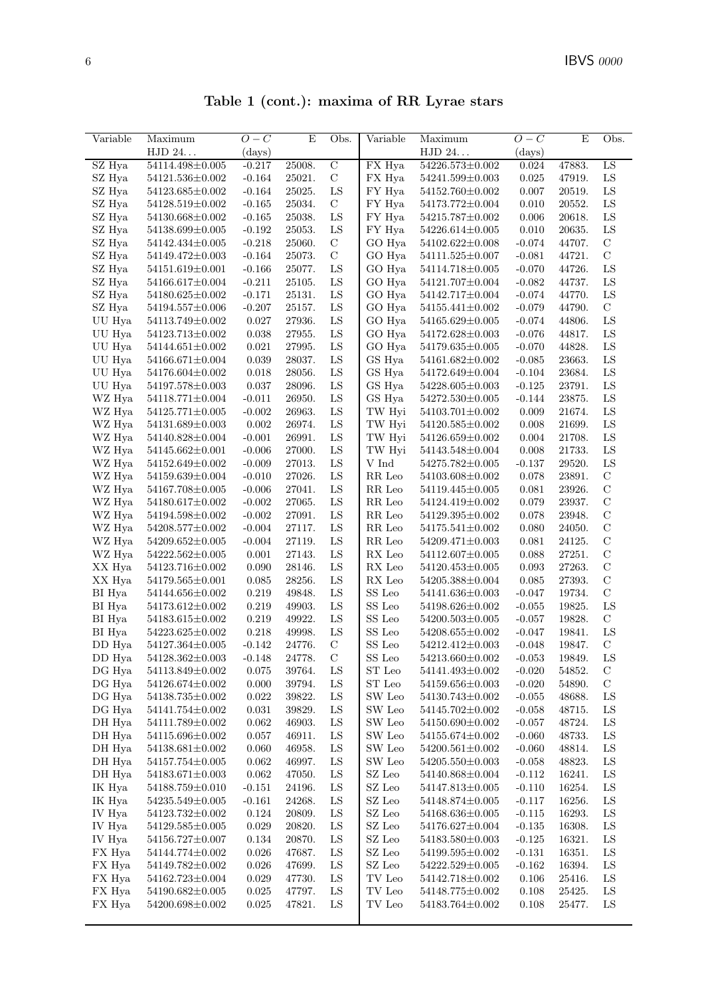Table 1 (cont.): maxima of RR Lyrae stars

| Variable      | Maximum               | $O-C$        | E      | Obs.           | Variable                              | Maximum               | $O-C$    | E                | Obs.          |
|---------------|-----------------------|--------------|--------|----------------|---------------------------------------|-----------------------|----------|------------------|---------------|
|               | ${\rm HJD}$ 24.       | $\rm (days)$ |        |                |                                       | HJD 24                | (days)   |                  |               |
| SZ Hya        | $54114.498{\pm}0.005$ | $-0.217$     | 25008. | $\overline{C}$ | FX Hya                                | 54226.573±0.002       | 0.024    | 47883.           | LS            |
| SZ Hya        | $54121.536{\pm}0.002$ | $-0.164$     | 25021. | $\mathbf C$    | FX Hya                                | 54241.599±0.003       | 0.025    | 47919.           | LS            |
| SZ Hya        | 54123.685±0.002       | $-0.164$     | 25025. | ${\rm LS}$     | FY Hya                                | 54152.760±0.002       | 0.007    | 20519.           | LS            |
| SZ Hya        | 54128.519±0.002       | $-0.165$     | 25034. | $\mathbf C$    | FY Hya                                | 54173.772±0.004       | 0.010    | 20552.           | LS            |
| SZ Hya        | 54130.668±0.002       | $-0.165$     | 25038. | LS             | FY Hya                                | 54215.787±0.002       | 0.006    | 20618.           | LS            |
| SZ Hya        | $54138.699 \pm 0.005$ | $-0.192$     | 25053. | ${\rm LS}$     | FY Hya                                | $54226.614\pm0.005$   | 0.010    | 20635.           | LS            |
| SZ Hya        | $54142.434\pm0.005$   | $-0.218$     | 25060. | $\mathbf C$    | GO Hya                                | $54102.622 \pm 0.008$ | $-0.074$ | 44707.           | $\mathbf C$   |
| $\rm SZ\ Hya$ | $54149.472\pm0.003$   | $-0.164$     | 25073. | $\mathbf C$    | GO Hya                                | $54111.525 \pm 0.007$ | $-0.081$ | 44721.           | $\mathbf C$   |
| SZ Hya        | $54151.619\pm0.001$   | $-0.166$     | 25077. | LS             | GO Hya                                | 54114.718±0.005       | $-0.070$ | 44726.           | LS            |
| SZ Hya        | 54166.617±0.004       | $-0.211$     | 25105. | LS             | GO Hya                                | 54121.707±0.004       | $-0.082$ | 44737.           | LS            |
| SZ Hya        | 54180.625±0.002       | $-0.171$     | 25131. | LS             | GO Hya                                | 54142.717±0.004       | $-0.074$ | 44770.           | LS            |
| SZ Hya        | $54194.557\pm0.006$   | $-0.207$     | 25157. | LS             | GO Hya                                | $54155.441\pm0.002$   | $-0.079$ | 44790.           | $\mathcal{C}$ |
| UU Hya        | $54113.749{\pm}0.002$ | 0.027        | 27936. | ${\rm LS}$     | GO Hya                                | $54165.629 \pm 0.005$ | $-0.074$ | 44806.           | LS            |
| $\rm UU$ Hya  | 54123.713±0.002       | 0.038        | 27955. | ${\rm LS}$     | GO Hya                                | $54172.628 \pm 0.003$ | $-0.076$ | 44817.           | LS            |
| UU Hya        | $54144.651\pm0.002$   | 0.021        | 27995. | LS             | GO Hya                                | $54179.635 \pm 0.005$ | $-0.070$ | 44828.           | LS            |
| UU Hya        | $54166.671 \pm 0.004$ | 0.039        | 28037. | LS             | GS Hya                                | $54161.682 \pm 0.002$ | $-0.085$ | 23663.           | LS            |
| UU Hya        | 54176.604±0.002       | 0.018        | 28056. | LS             | GS Hya                                | 54172.649±0.004       | $-0.104$ | 23684.           | $_{\rm LS}$   |
| UU Hya        | 54197.578±0.003       | 0.037        | 28096. | LS             | GS Hya                                | 54228.605±0.003       | $-0.125$ | 23791.           | LS            |
| WZ Hya        | 54118.771±0.004       | $-0.011$     | 26950. | LS             | GS Hya                                | $54272.530{\pm}0.005$ | $-0.144$ | 23875.           | LS            |
| WZ Hya        | $54125.771 \pm 0.005$ | $-0.002$     | 26963. | ${\rm LS}$     | TW Hyi                                | $54103.701 \pm 0.002$ | 0.009    | 21674.           | ${\rm LS}$    |
| WZ Hya        | $54131.689 \pm 0.003$ | 0.002        | 26974. | ${\rm LS}$     | TW Hyi                                | $54120.585 \pm 0.002$ | 0.008    | 21699.           | LS            |
| WZ Hya        | 54140.828±0.004       | $-0.001$     | 26991. | LS             | TW Hyi                                | $54126.659{\pm}0.002$ | 0.004    | 21708.           | LS            |
| WZ Hya        | $54145.662 \pm 0.001$ | $-0.006$     | 27000. | LS             | TW Hyi                                | 54143.548±0.004       | 0.008    | 21733.           | $_{\rm LS}$   |
| WZ Hya        | $54152.649\pm0.002$   | $-0.009$     | 27013. | LS             | V Ind                                 | 54275.782±0.005       | $-0.137$ | 29520.           | LS            |
| WZ Hya        | 54159.639±0.004       | $-0.010$     | 27026. | LS             | $\ensuremath{\mathsf{RR}}\xspace$ Leo | $54103.608 \pm 0.002$ | 0.078    | 23891.           | $\mathbf C$   |
| WZ Hya        | $54167.708 \pm 0.005$ | $-0.006$     | 27041. | ${\rm LS}$     | RR Leo                                | $54119.445 \pm 0.005$ | 0.081    | 23926.           | $\mathbf C$   |
| WZ Hya        | 54180.617±0.002       | $-0.002$     | 27065. | LS             | RR Leo                                | 54124.419±0.002       | 0.079    | 23937.           | $\mathcal{C}$ |
| WZ Hya        | 54194.598±0.002       | $-0.002$     | 27091. | LS             | RR Leo                                | 54129.395±0.002       | 0.078    | 23948.           | $\mathbf C$   |
| WZ Hya        | $54208.577 \pm 0.002$ | $-0.004$     | 27117. | LS             | $\ensuremath{\mathsf{RR}}\xspace$ Leo | $54175.541 \pm 0.002$ | 0.080    | 24050.           | $\mathbf C$   |
| WZ Hya        | $54209.652 \pm 0.005$ | $-0.004$     | 27119. | LS             | $\ensuremath{\mathsf{RR}}\xspace$ Leo | $54209.471 \pm 0.003$ | 0.081    | 24125.           | $\mathbf C$   |
| WZ Hya        | $54222.562 \pm 0.005$ | 0.001        | 27143. | ${\rm LS}$     | RX Leo                                | 54112.607±0.005       | 0.088    | 27251.           | $\mathbf C$   |
| XX Hya        | 54123.716±0.002       | 0.090        | 28146. | LS             | RX Leo                                | $54120.453\pm0.005$   | 0.093    | 27263.           | $\mathbf C$   |
| XX Hya        | $54179.565 \pm 0.001$ | $\,0.085\,$  | 28256. | LS             | RX Leo                                | 54205.388±0.004       | 0.085    | 27393.           | $\mathbf C$   |
| BI Hya        | 54144.656±0.002       | 0.219        | 49848. | LS             | SS Leo                                | 54141.636±0.003       | $-0.047$ | 19734.           | $\mathbf C$   |
| BI Hya        | $54173.612 \pm 0.002$ | 0.219        | 49903. | LS             | SS Leo                                | 54198.626±0.002       | $-0.055$ | 19825.           | LS            |
| BI Hya        | $54183.615 \pm 0.002$ | $0.219\,$    | 49922. | LS             | ${\rm SS}$ Leo                        | $54200.503 \pm 0.005$ | $-0.057$ | 19828.           | $\mathbf C$   |
| BI Hya        | $54223.625 \pm 0.002$ | 0.218        | 49998. | LS             | ${\rm SS}$ Leo                        | 54208.655±0.002       | $-0.047$ | 19841.           | LS            |
| DD Hya        | 54127.364±0.005       | $-0.142$     | 24776. | $\mathbf C$    | SS Leo                                | 54212.412±0.003       | $-0.048$ | 19847.           | $\mathbf C$   |
| DD Hya        | $54128.362 \pm 0.003$ | $-0.148$     | 24778  | $\rm C$        | SS Leo                                | 54213.660±0.002       | $-0.053$ | 19849.           | LS            |
| DG Hya        | 54113.849±0.002       | 0.075        | 39764. | LS             | ${\rm ST}$ Leo                        | 54141.493±0.002       | $-0.020$ | 54852.           | $\mathcal{C}$ |
| DG Hya        | 54126.674±0.002       | 0.000        | 39794. | LS             | ${\rm ST}$ Leo                        | 54159.656±0.003       | $-0.020$ | 54890.           | $\mathcal{C}$ |
| DG Hya        | 54138.735±0.002       | $0.022\,$    | 39822. | LS             | $\ensuremath{\mathsf{SW}}\xspace$ Leo | 54130.743±0.002       | $-0.055$ | 48688.           | LS            |
| DG Hya        | $54141.754\pm0.002$   | 0.031        | 39829. | LS             | SW Leo                                | $54145.702 \pm 0.002$ | $-0.058$ | 48715.           | LS            |
| DH Hya        | 54111.789±0.002       | 0.062        | 46903. | LS             | $\ensuremath{\mathsf{SW}}$ Leo        | $54150.690 \pm 0.002$ | $-0.057$ | 48724.           | LS            |
| DH Hya        | 54115.696±0.002       | 0.057        | 46911. | LS             | SW Leo                                | $54155.674 \pm 0.002$ | $-0.060$ | 48733.           | $_{\rm LS}$   |
| DH Hya        | $54138.681 \pm 0.002$ | 0.060        | 46958. | LS             | SW Leo                                | $54200.561 \pm 0.002$ | $-0.060$ | 48814.           | LS            |
| DH Hya        | 54157.754 $\pm$ 0.005 | 0.062        | 46997. | LS             | SW Leo                                | $54205.550 \pm 0.003$ | $-0.058$ | 48823.           | $_{\rm LS}$   |
| DH Hya        | $54183.671 \pm 0.003$ | 0.062        | 47050. | LS             | SZ Leo                                | 54140.868±0.004       | $-0.112$ | 16241.<br>16254. | $_{\rm LS}$   |
| IK Hya        | 54188.759±0.010       | $-0.151$     | 24196. | LS             | SZ Leo                                | 54147.813±0.005       | $-0.110$ |                  | $_{\rm LS}$   |
| IK Hya        | 54235.549±0.005       | $-0.161$     | 24268. | LS             | SZ Leo                                | 54148.874±0.005       | $-0.117$ | 16256.           | LS            |
| IV Hya        | $54123.732\pm0.002$   | 0.124        | 20809. | LS             | SZ Leo                                | $54168.636\pm0.005$   | $-0.115$ | 16293.           | LS            |
| IV Hya        | 54129.585±0.005       | 0.029        | 20820. | LS             | SZ Leo                                | $54176.627 \pm 0.004$ | $-0.135$ | 16308.           | LS            |
| IV Hya        | $54156.727 \pm 0.007$ | 0.134        | 20870. | LS             | SZ Leo                                | 54183.580±0.003       | $-0.125$ | 16321.           | $_{\rm LS}$   |
| FX Hya        | $54144.774 \pm 0.002$ | 0.026        | 47687. | LS             | SZ Leo                                | 54199.595±0.002       | $-0.131$ | 16351.           | $_{\rm LS}$   |
| FX Hya        | $54149.782 \pm 0.002$ | 0.026        | 47699. | LS             | SZ Leo                                | $54222.529 \pm 0.005$ | $-0.162$ | 16394.           | LS            |
| FX Hya        | 54162.723±0.004       | 0.029        | 47730. | LS             | TV Leo                                | 54142.718±0.002       | 0.106    | 25416.           | $_{\rm LS}$   |
| FX Hya        | 54190.682±0.005       | 0.025        | 47797. | LS             | TV Leo                                | 54148.775±0.002       | 0.108    | 25425.           | LS            |
| FX Hya        | $54200.698 \pm 0.002$ | 0.025        | 47821. | ${\rm LS}$     | TV Leo                                | $54183.764 \pm 0.002$ | 0.108    | 25477.           | LS            |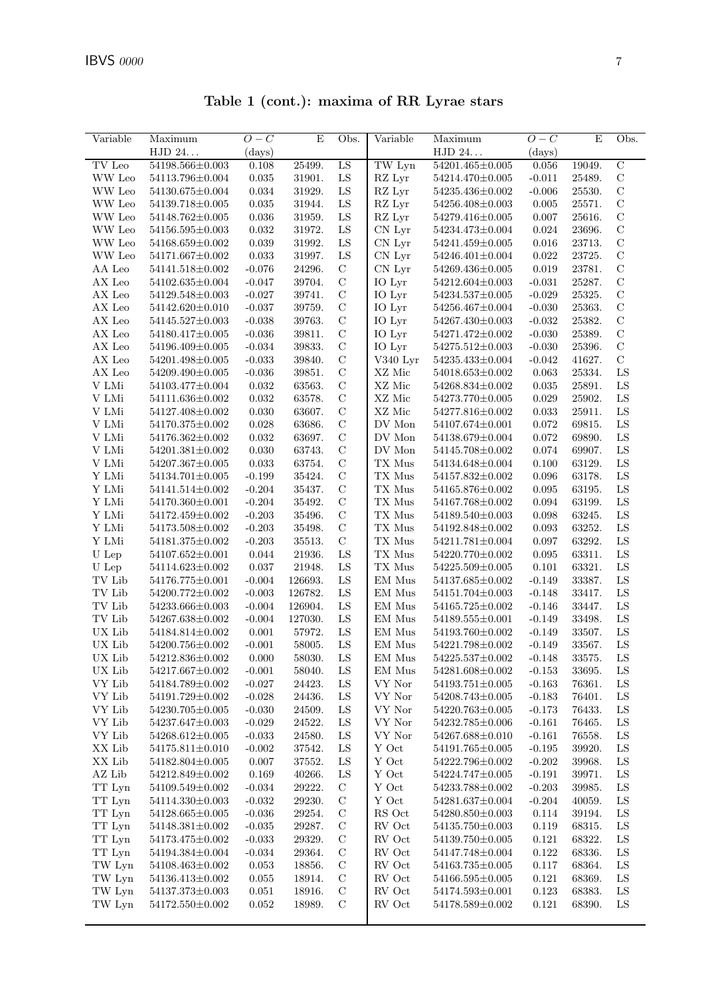|          |                       |        |        |      |          | Table 1 (cont.): maxima of RR Lyrae stars |          |        |               |
|----------|-----------------------|--------|--------|------|----------|-------------------------------------------|----------|--------|---------------|
| Variable | Maximum               | $O-C$  | E      | Obs. | Variable | Maximum                                   | $O-C$    | E      | Obs.          |
|          | HJD 24                | (days) |        |      |          | HJD 24                                    | (days)   |        |               |
| TV Leo   | $54198.566 \pm 0.003$ | 0.108  | 25499. | LS   | TW Lyn   | $54201.465 \pm 0.005$                     | 0.056    | 19049. | $\mathcal{C}$ |
| WW Leo   | 54113.796±0.004       | 0.035  | 31901. | LS   | RZ Lyr   | 54214.470±0.005                           | $-0.011$ | 25489. | $\mathcal{C}$ |
| WW Leo   | 54130.675±0.004       | 0.034  | 31929. | LS   | $RZ$ Lyr | 54235.436±0.002                           | $-0.006$ | 25530. | $\mathcal{C}$ |
| WW Leo   | 54139.718±0.005       | 0.035  | 31944. | LS   | $RZ$ Lyr | 54256.408±0.003                           | 0.005    | 25571  | C             |
|          |                       |        |        |      |          |                                           |          |        |               |

Table 1 (cont.):  $m$ 

|                | HJD 24                | ${\rm (days)}$ |         |               |                                | HJD 24                | ${\rm (days)}$ |        |                |
|----------------|-----------------------|----------------|---------|---------------|--------------------------------|-----------------------|----------------|--------|----------------|
| TV Leo         | 54198.566±0.003       | 0.108          | 25499.  | LS            | $\overline{\text{TW}}$ Lyn     | 54201.465±0.005       | 0.056          | 19049. | $\overline{C}$ |
| WW Leo         | 54113.796±0.004       | 0.035          | 31901.  | ${\rm LS}$    | RZ Lyr                         | 54214.470±0.005       | $-0.011$       | 25489. | $\mathbf C$    |
| WW Leo         | 54130.675±0.004       | 0.034          | 31929.  | ${\rm LS}$    | RZ Lyr                         | 54235.436±0.002       | $-0.006$       | 25530. | $\mathcal{C}$  |
| WW Leo         | 54139.718±0.005       | 0.035          | 31944.  | ${\rm LS}$    | RZ Lyr                         | 54256.408±0.003       | 0.005          | 25571. | $\mathcal{C}$  |
| WW Leo         | 54148.762±0.005       | 0.036          | 31959.  | ${\rm LS}$    | RZ Lyr                         | 54279.416±0.005       | 0.007          | 25616. | $\mathbf C$    |
| WW Leo         | 54156.595±0.003       | 0.032          | 31972.  | ${\rm LS}$    | CN Lyr                         | 54234.473±0.004       | 0.024          | 23696. | $\mathcal{C}$  |
| WW Leo         | 54168.659±0.002       | 0.039          | 31992.  | ${\rm LS}$    | CN Lyr                         | 54241.459±0.005       | 0.016          | 23713. | $\mathcal{C}$  |
| WW Leo         | 54171.667±0.002       | 0.033          | 31997.  | ${\rm LS}$    | ${\rm CN\ Lyr}$                | 54246.401±0.004       | 0.022          | 23725. | $\mathbf C$    |
| AA Leo         | 54141.518±0.002       | $-0.076$       | 24296.  | $\mathbf C$   | $CN$ Lyr                       | 54269.436±0.005       | 0.019          | 23781. | $\mathcal{C}$  |
| AX Leo         | $54102.635 \pm 0.004$ | $-0.047$       | 39704.  | $\mathbf C$   | IO Lyr                         | 54212.604±0.003       | $-0.031$       | 25287. | $\mathbf C$    |
| AX Leo         | 54129.548±0.003       | $-0.027$       | 39741.  | $\mathbf C$   | IO Lyr                         | 54234.537±0.005       | $-0.029$       | 25325. | $\mathbf C$    |
| AX Leo         | 54142.620±0.010       | $-0.037$       | 39759.  | $\mathbf C$   | IO Lyr                         | 54256.467±0.004       | $-0.030$       | 25363. | $\mathcal{C}$  |
| AX Leo         | $54145.527 \pm 0.003$ | $-0.038$       | 39763.  | $\mathcal{C}$ | IO Lyr                         | 54267.430±0.003       | $-0.032$       | 25382. | $\mathcal{C}$  |
| AX Leo         | 54180.417±0.005       | $-0.036$       | 39811.  | $\mathbf C$   | IO Lyr                         | 54271.472±0.002       | $-0.030$       | 25389. | $\mathbf C$    |
| ${\rm AX}$ Leo | 54196.409±0.005       | $-0.034$       | 39833.  | $\mathcal{C}$ | IO Lyr                         | 54275.512±0.003       | $-0.030$       | 25396. | $\mathcal{C}$  |
| ${\rm AX}$ Leo | 54201.498±0.005       | $-0.033$       | 39840.  | $\mathbf C$   | V340 Lyr                       | 54235.433±0.004       | $-0.042$       | 41627. | $\mathbf C$    |
| AX Leo         | 54209.490±0.005       | $-0.036$       | 39851.  | $\mathbf C$   | XZ Mic                         | $54018.653 \pm 0.002$ | 0.063          | 25334. | ${\rm LS}$     |
| V LMi          | 54103.477±0.004       | 0.032          | 63563.  | $\mathbf C$   | $\rm XZ$ Mic                   | 54268.834±0.002       | 0.035          | 25891. | ${\rm LS}$     |
| V LMi          | 54111.636±0.002       | 0.032          | 63578.  | $\mathbf C$   | XZ Mic                         | 54273.770±0.005       | 0.029          | 25902. | ${\rm LS}$     |
| V LMi          | 54127.408±0.002       | 0.030          | 63607.  | $\mathbf C$   | XZ Mic                         | 54277.816±0.002       | 0.033          | 25911. | ${\rm LS}$     |
| V LMi          | 54170.375±0.002       | 0.028          | 63686.  | $\mathcal{C}$ | DV Mon                         | 54107.674±0.001       | 0.072          | 69815. | ${\rm LS}$     |
| $\rm V$ LMi    | 54176.362±0.002       | $\,0.032\,$    | 63697.  | $\mathcal{C}$ | $\operatorname{DV}$ Mon        | 54138.679±0.004       | 0.072          | 69890. | ${\rm LS}$     |
| V LMi          | $54201.381 \pm 0.002$ | 0.030          | 63743.  | $\mathcal{C}$ | $\operatorname{DV}$ Mon        | 54145.708±0.002       | 0.074          | 69907. | ${\rm LS}$     |
|                |                       |                |         | $\mathcal{C}$ |                                | 54134.648±0.004       |                |        | ${\rm LS}$     |
| V LMi          | 54207.367±0.005       | 0.033          | 63754.  | $\mathbf C$   | TX Mus                         |                       | 0.100          | 63129. |                |
| Y LMi          | $54134.701 \pm 0.005$ | $-0.199$       | 35424.  |               | $\mathcal{T}\mathcal{X}$ Mus   | 54157.832±0.002       | 0.096          | 63178. | LS             |
| Y LMi          | 54141.514±0.002       | $-0.204$       | 35437.  | $\mathbf C$   | TX Mus                         | 54165.876±0.002       | 0.095          | 63195. | ${\rm LS}$     |
| Y LMi          | 54170.360 $\pm$ 0.001 | $-0.204$       | 35492.  | $\mathbf C$   | ${\rm TX}$ Mus                 | 54167.768±0.002       | 0.094          | 63199. | ${\rm LS}$     |
| Y LMi          | 54172.459±0.002       | $-0.203$       | 35496.  | $\mathbf C$   | ${\rm TX}$ Mus                 | 54189.540±0.003       | 0.098          | 63245. | ${\rm LS}$     |
| Y LMi          | 54173.508±0.002       | $-0.203$       | 35498.  | $\mathbf C$   | TX Mus                         | 54192.848±0.002       | 0.093          | 63252. | ${\rm LS}$     |
| Y LMi          | 54181.375±0.002       | $-0.203$       | 35513.  | $\mathbf C$   | TX Mus                         | 54211.781±0.004       | 0.097          | 63292. | ${\rm LS}$     |
| ${\cal U}$ Lep | $54107.652 \pm 0.001$ | 0.044          | 21936.  | ${\rm LS}$    | TX Mus                         | 54220.770±0.002       | 0.095          | 63311. | LS             |
| ${\cal U}$ Lep | $54114.623 \pm 0.002$ | 0.037          | 21948.  | ${\rm LS}$    | ${\rm TX}$ Mus                 | 54225.509±0.005       | 0.101          | 63321. | ${\rm LS}$     |
| TV Lib         | 54176.775±0.001       | $-0.004$       | 126693. | ${\rm LS}$    | EM Mus                         | 54137.685±0.002       | $-0.149$       | 33387. | ${\rm LS}$     |
| TV Lib         | 54200.772±0.002       | $-0.003$       | 126782. | ${\rm LS}$    | EM Mus                         | 54151.704±0.003       | $-0.148$       | 33417. | LS             |
| TV Lib         | 54233.666±0.003       | $-0.004$       | 126904. | ${\rm LS}$    | EM Mus                         | $54165.725 \pm 0.002$ | $-0.146$       | 33447. | ${\rm LS}$     |
| TV Lib         | 54267.638±0.002       | $-0.004$       | 127030. | ${\rm LS}$    | EM Mus                         | 54189.555±0.001       | $-0.149$       | 33498. | ${\rm LS}$     |
| UX Lib         | $54184.814\pm0.002$   | 0.001          | 57972.  | ${\rm LS}$    | EM Mus                         | 54193.760±0.002       | $-0.149$       | 33507. | LS             |
| UX Lib         | 54200.756±0.002       | $-0.001$       | 58005.  | ${\rm LS}$    | $\mathop{\rm EM}\nolimits$ Mus | 54221.798±0.002       | $-0.149$       | 33567. | ${\rm LS}$     |
| UX Lib         | 54212.836±0.002       | 0.000          | 58030.  | ${\rm LS}$    | EM Mus                         | $54225.537 \pm 0.002$ | $-0.148$       | 33575. | ${\rm LS}$     |
| UX Lib         | 54217.667±0.002       | $-0.001$       | 58040.  | LS            | EM Mus                         | 54281.608±0.002       | $-0.153$       | 33695. | ${\rm LS}$     |
| VY Lib         | $54184.789 \pm 0.002$ | $-0.027$       | 24423.  | LS            | VY Nor                         | $54193.751 \pm 0.005$ | $-0.163$       | 76361. | LS             |
| VY Lib         | 54191.729±0.002       | $-0.028$       | 24436.  | LS            | VY Nor                         | 54208.743±0.005       | $-0.183$       | 76401. | LS             |
| VY Lib         | 54230.705±0.005       | $-0.030$       | 24509.  | LS            | VY Nor                         | 54220.763±0.005       | $-0.173$       | 76433. | LS             |
| VY Lib         | 54237.647±0.003       | $-0.029$       | 24522.  | ${\rm LS}$    | VY Nor                         | 54232.785±0.006       | $-0.161$       | 76465. | LS             |
| VY Lib         | 54268.612±0.005       | $-0.033$       | 24580.  | LS            | VY Nor                         | 54267.688±0.010       | $-0.161$       | 76558. | $_{\rm LS}$    |
| XX Lib         | $54175.811 \pm 0.010$ | $-0.002$       | 37542.  | LS            | $\mathbf Y$ Oct                | 54191.765±0.005       | $-0.195$       | 39920. | $_{\rm LS}$    |
| XX Lib         | 54182.804±0.005       | 0.007          | 37552.  | LS            | Y Oct                          | 54222.796±0.002       | $-0.202$       | 39968. | $_{\rm LS}$    |
| AZ Lib         | 54212.849±0.002       | 0.169          | 40266.  | LS            | Y Oct                          | 54224.747±0.005       | $-0.191$       | 39971. | LS             |
| TT Lyn         | 54109.549±0.002       | $-0.034$       | 29222.  | $\mathcal{C}$ | Y Oct                          | 54233.788±0.002       | $-0.203$       | 39985. | $_{\rm LS}$    |
| TT Lyn         | 54114.330 $\pm$ 0.003 | $-0.032$       | 29230.  | $\mathcal{C}$ | Y Oct                          | 54281.637±0.004       | $-0.204$       | 40059. | LS             |
| TT Lyn         | $54128.665 \pm 0.005$ | $-0.036$       | 29254.  | $\mathbf C$   | RS Oct                         | 54280.850±0.003       | 0.114          | 39194. | $_{\rm LS}$    |
| TT Lyn         | $54148.381 \pm 0.002$ | $-0.035$       | 29287.  | $\mathcal{C}$ | RV Oct                         | 54135.750 $\pm$ 0.003 | 0.119          | 68315. | $_{\rm LS}$    |
| TT Lyn         | 54173.475±0.002       | $-0.033$       | 29329.  | $\mathcal{C}$ | RV Oct                         | 54139.750 $\pm$ 0.005 | 0.121          | 68322. | $_{\rm LS}$    |
| TT Lyn         | 54194.384±0.004       | $-0.034$       | 29364.  | $\mathcal{C}$ | RV Oct                         | 54147.748±0.004       | 0.122          | 68336. | LS             |
| TW Lyn         | $54108.463\pm0.002$   | 0.053          | 18856.  | $\mathcal{C}$ | ${\rm RV}$ Oct                 | 54163.735±0.005       | 0.117          | 68364. | $_{\rm LS}$    |
| TW Lyn         | 54136.413±0.002       | 0.055          | 18914.  | $\mathcal{C}$ | RV Oct                         | 54166.595±0.005       | 0.121          | 68369. | LS             |
| TW Lyn         | 54137.373±0.003       | 0.051          | 18916.  | $\mathcal{C}$ | RV Oct                         | 54174.593±0.001       | 0.123          | 68383. | $_{\rm LS}$    |
| TW Lyn         | 54172.550 $\pm$ 0.002 | 0.052          | 18989.  | $\mathbf C$   | ${\rm RV}$ Oct                 | 54178.589±0.002       | 0.121          | 68390. | $_{\rm LS}$    |
|                |                       |                |         |               |                                |                       |                |        |                |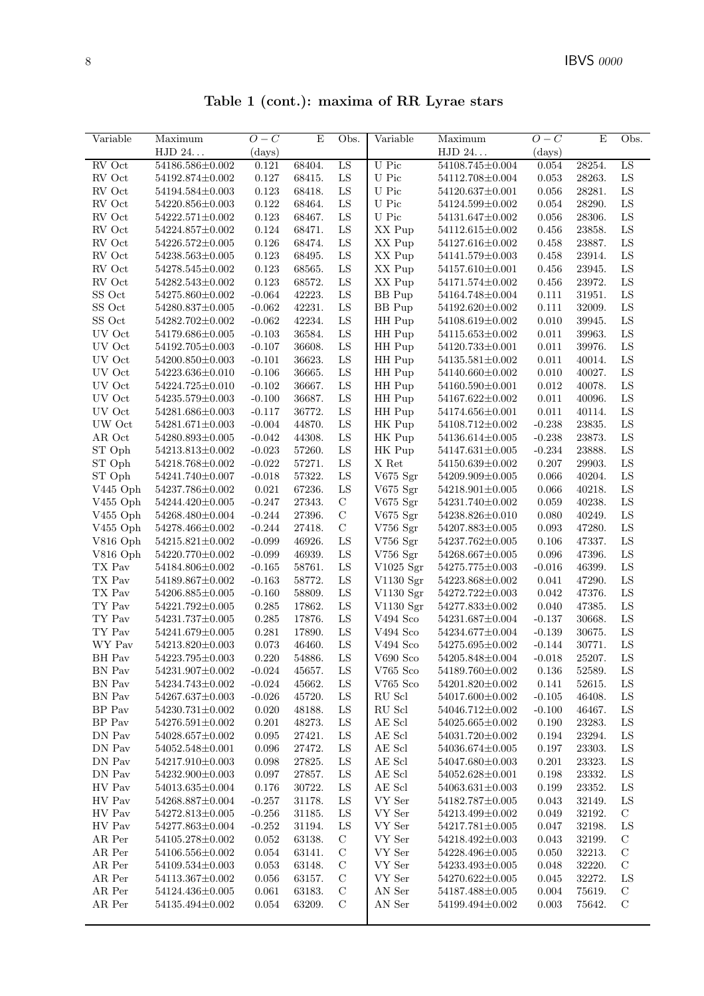Table 1 (cont.): maxima of RR Lyrae stars

| Variable                     | Maximum                 | $O-C$        | E      | Obs.          | Variable          | Maximum                 | $O-C$        | E      | Obs.          |
|------------------------------|-------------------------|--------------|--------|---------------|-------------------|-------------------------|--------------|--------|---------------|
|                              | HJD 24                  | $\rm (days)$ |        |               |                   | HJD 24                  | $\rm (days)$ |        |               |
| RV Oct                       | 54186.586±0.002         | 0.121        |        |               | U Pic             |                         | 0.054        | 28254. |               |
|                              |                         |              | 68404. | LS            |                   | 54108.745±0.004         |              |        | LS            |
| RV Oct                       | 54192.874±0.002         | 0.127        | 68415. | LS            | U Pic             | 54112.708±0.004         | 0.053        | 28263. | LS            |
| RV Oct                       | 54194.584±0.003         | 0.123        | 68418. | ${\rm LS}$    | U Pic             | 54120.637±0.001         | 0.056        | 28281. | ${\rm LS}$    |
| RV Oct                       | 54220.856±0.003         | 0.122        | 68464. | ${\rm LS}$    | U Pic             | 54124.599±0.002         | 0.054        | 28290. | ${\rm LS}$    |
| RV Oct                       | 54222.571±0.002         | 0.123        | 68467. | ${\rm LS}$    | U Pic             | 54131.647±0.002         | $0.056\,$    | 28306. | ${\rm LS}$    |
| RV Oct                       | 54224.857±0.002         | 0.124        | 68471. | LS            | XX Pup            | 54112.615±0.002         | 0.456        | 23858. | ${\rm LS}$    |
| RV Oct                       | 54226.572±0.005         | 0.126        | 68474. | LS            | XX Pup            | 54127.616±0.002         | 0.458        | 23887. | LS            |
| RV Oct                       | 54238.563±0.005         | 0.123        | 68495. | $_{\rm LS}$   | XX Pup            | 54141.579±0.003         | 0.458        | 23914. | ${\rm LS}$    |
| RV Oct                       | $54278.545 \pm 0.002$   | 0.123        | 68565. | ${\rm LS}$    | XX Pup            | $54157.610\pm0.001$     | 0.456        | 23945. | ${\rm LS}$    |
| RV Oct                       | 54282.543±0.002         | 0.123        | 68572. | ${\rm LS}$    | XX Pup            | 54171.574±0.002         | 0.456        | 23972. | ${\rm LS}$    |
| SS Oct                       | 54275.860±0.002         | $-0.064$     | 42223. | ${\rm LS}$    | <b>BB</b> Pup     | 54164.748±0.004         | 0.111        | 31951. | ${\rm LS}$    |
| SS Oct                       | 54280.837±0.005         | $-0.062$     | 42231. | LS            | <b>BB</b> Pup     | 54192.620±0.002         | 0.111        | 32009. | ${\rm LS}$    |
| SS Oct                       | 54282.702±0.002         | $-0.062$     | 42234. | LS            | HH Pup            | 54108.619±0.002         | 0.010        | 39945. | LS            |
| UV Oct                       | 54179.686±0.005         | $-0.103$     | 36584. | ${\rm LS}$    | HH Pup            | 54115.653±0.002         | 0.011        | 39963. | ${\rm LS}$    |
| UV Oct                       | 54192.705±0.003         | $-0.107$     | 36608. | ${\rm LS}$    | HH Pup            | 54120.733±0.001         | 0.011        | 39976. | ${\rm LS}$    |
| UV Oct                       | 54200.850±0.003         | $-0.101$     | 36623. | ${\rm LS}$    | HH Pup            | 54135.581±0.002         | 0.011        | 40014. | ${\rm LS}$    |
| UV Oct                       | 54223.636±0.010         | $-0.106$     | 36665. | LS            | HH Pup            | 54140.660±0.002         | 0.010        | 40027. | ${\rm LS}$    |
| UV Oct                       | 54224.725±0.010         | $-0.102$     | 36667. | ${\rm LS}$    | HH Pup            | 54160.590±0.001         | 0.012        | 40078. | ${\rm LS}$    |
| UV Oct                       | 54235.579±0.003         | $-0.100$     | 36687. | LS            | HH Pup            | 54167.622±0.002         | 0.011        | 40096. | ${\rm LS}$    |
| UV Oct                       | 54281.686±0.003         | $-0.117$     | 36772. | LS            | HH Pup            | 54174.656±0.001         | 0.011        | 40114. | ${\rm LS}$    |
| UW Oct                       | 54281.671±0.003         | $-0.004$     | 44870. | LS            | HK Pup            | 54108.712±0.002         | $-0.238$     | 23835. | ${\rm LS}$    |
| AR Oct                       | 54280.893±0.005         | $-0.042$     | 44308. | ${\rm LS}$    | HK Pup            | 54136.614±0.005         | $-0.238$     | 23873. | ${\rm LS}$    |
| ST Oph                       | 54213.813±0.002         | $-0.023$     | 57260. | LS            | HK Pup            | $54147.631 \pm 0.005$   | $-0.234$     | 23888. | LS            |
| ST Oph                       | 54218.768±0.002         | $-0.022$     | 57271. | LS            | X Ret             | 54150.639±0.002         | 0.207        | 29903. | ${\rm LS}$    |
| ST Oph                       | $54241.740 \pm 0.007$   | $-0.018$     | 57322. | $_{\rm LS}$   | V675 Sgr          | $54209.909 \pm 0.005$   | 0.066        | 40204. | ${\rm LS}$    |
| $V445$ Oph                   | 54237.786±0.002         | 0.021        | 67236. | ${\rm LS}$    | V675 $Sgr$        | $54218.901 \pm 0.005$   | 0.066        | 40218. | ${\rm LS}$    |
| V455 Oph                     | 54244.420±0.005         | $-0.247$     | 27343. | $\mathbf C$   | V675 Sgr          | 54231.740±0.002         | 0.059        | 40238. | ${\rm LS}$    |
| V455 Oph                     | 54268.480±0.004         | $-0.244$     | 27396. | $\mathbf C$   | V675 Sgr          | 54238.826±0.010         | 0.080        | 40249. | ${\rm LS}$    |
| $V455$ Oph                   | 54278.466±0.002         | $-0.244$     | 27418. | $\mathcal{C}$ | $V756$ Sgr        | 54207.883±0.005         | 0.093        | 47280. | ${\rm LS}$    |
| $V816$ Oph                   | 54215.821±0.002         | $-0.099$     | 46926. | LS            | $V756$ Sgr        | 54237.762±0.005         | 0.106        | 47337. | LS            |
| $V816$ Oph                   | 54220.770±0.002         | $-0.099$     | 46939. | LS            | V756Sgr           | 54268.667±0.005         | 0.096        | 47396. | ${\rm LS}$    |
|                              |                         |              |        | ${\rm LS}$    |                   |                         |              |        | ${\rm LS}$    |
| TX Pav                       | 54184.806±0.002         | $-0.165$     | 58761. |               | V1025 Sgr         | 54275.775±0.003         | $-0.016$     | 46399. |               |
| TX Pav                       | $54189.867{\pm}0.002$   | $-0.163$     | 58772. | LS            | V1130 Sgr         | 54223.868±0.002         | 0.041        | 47290. | ${\rm LS}$    |
| TX Pav                       | 54206.885±0.005         | $-0.160$     | 58809. | ${\rm LS}$    | V1130 Sgr         | 54272.722±0.003         | 0.042        | 47376. | LS            |
| $\mathcal{T}\mathcal{Y}$ Pav | 54221.792 $\pm$ 0.005   | 0.285        | 17862. | LS            | V1130 Sgr         | 54277.833±0.002         | 0.040        | 47385. | ${\rm LS}$    |
| TY Pav                       | 54231.737±0.005         | 0.285        | 17876. | $_{\rm LS}$   | V494 Sco          | 54231.687±0.004         | $-0.137$     | 30668. | LS            |
| $\mathcal{T}\mathcal{Y}$ Pav | $54241.679{\pm}0.005$   | 0.281        | 17890. | $_{\rm LS}$   | $\rm V494$ Sco    | 54234.677±0.004         | $-0.139$     | 30675. | LS            |
| WY Pav                       | 54213.820±0.003         | 0.073        | 46460. | ${\rm LS}$    | V494 Sco          | 54275.695±0.002         | $-0.144$     | 30771. | ${\rm LS}$    |
| BH Pav                       | $54223.795\!\pm\!0.003$ | 0.220        | 54886. | ${\rm LS}$    | ${\it V690}$ Sco  | $54205.848 {\pm} 0.004$ | $-0.018$     | 25207. | ${\rm LS}$    |
| BN Pav                       | $54231.907 \pm 0.002$   | $-0.024$     | 45657. | LS            | $V765$ Sco        | $54189.760 \pm 0.002$   | 0.136        | 52589. | LS            |
| BN Pav                       | 54234.743±0.002         | $-0.024$     | 45662. | LS            | $V765$ Sco        | $54201.820 \pm 0.002$   | 0.141        | 52615. | ${\rm LS}$    |
| BN Pav                       | 54267.637±0.003         | $-0.026$     | 45720. | LS            | RU Scl            | 54017.600 $\pm$ 0.002   | $-0.105$     | 46408. | ${\rm LS}$    |
| BP Pav                       | 54230.731±0.002         | 0.020        | 48188. | LS            | RU Scl            | 54046.712±0.002         | $-0.100$     | 46467. | ${\rm LS}$    |
| BP Pav                       | $54276.591 \pm 0.002$   | 0.201        | 48273. | LS            | $\mathbf{AE}$ Scl | 54025.665±0.002         | 0.190        | 23283. | LS            |
| DN Pav                       | 54028.657±0.002         | 0.095        | 27421. | LS            | AE Scl            | 54031.720±0.002         | 0.194        | 23294. | ${\rm LS}$    |
| DN Pav                       | 54052.548±0.001         | 0.096        | 27472. | $_{\rm LS}$   | AE Scl            | 54036.674±0.005         | 0.197        | 23303. | ${\rm LS}$    |
| DN Pav                       | 54217.910±0.003         | 0.098        | 27825. | LS            | AE Scl            | 54047.680±0.003         | 0.201        | 23323. | ${\rm LS}$    |
| DN Pav                       | 54232.900±0.003         | 0.097        | 27857. | LS            | AE Scl            | 54052.628±0.001         | 0.198        | 23332. | ${\rm LS}$    |
| HV Pav                       | 54013.635±0.004         | 0.176        | 30722. | LS            | AE Scl            | $54063.631 \pm 0.003$   | 0.199        | 23352. | ${\rm LS}$    |
| HV Pav                       | 54268.887±0.004         | $-0.257$     | 31178. | LS            | VY Ser            | 54182.787±0.005         | 0.043        | 32149. | ${\rm LS}$    |
| HV Pav                       | 54272.813±0.005         | $-0.256$     | 31185. | LS            | VY Ser            | 54213.499±0.002         | 0.049        | 32192. | $\mathbf C$   |
| HV Pav                       | 54277.863±0.004         | $-0.252$     | 31194. | LS            | VY Ser            | $54217.781 \pm 0.005$   | 0.047        | 32198. | LS            |
| AR Per                       | 54105.278±0.002         | 0.052        | 63138. | $\mathbf C$   | VY Ser            | 54218.492±0.003         | 0.043        | 32199. | $\mathbf C$   |
| AR Per                       | 54106.556±0.002         | 0.054        | 63141. | $\mathbf C$   | VY Ser            | 54228.496±0.005         | 0.050        | 32213. | $\mathbf C$   |
| AR Per                       | $54109.534{\pm}0.003$   | 0.053        | 63148. | $\mathcal{C}$ | VY Ser            | 54233.493±0.005         | 0.048        | 32220. | $\mathcal{C}$ |
| AR Per                       | 54113.367±0.002         | 0.056        | 63157. | $\mathbf C$   | VY Ser            | 54270.622±0.005         | 0.045        | 32272. | LS            |
| AR Per                       | 54124.436±0.005         | 0.061        | 63183. | $\mathbf C$   | AN Ser            | 54187.488±0.005         | 0.004        | 75619. | $\mathbf C$   |
| AR Per                       | 54135.494±0.002         | 0.054        | 63209. | $\mathcal{C}$ | AN Ser            | 54199.494±0.002         | 0.003        | 75642. | С             |
|                              |                         |              |        |               |                   |                         |              |        |               |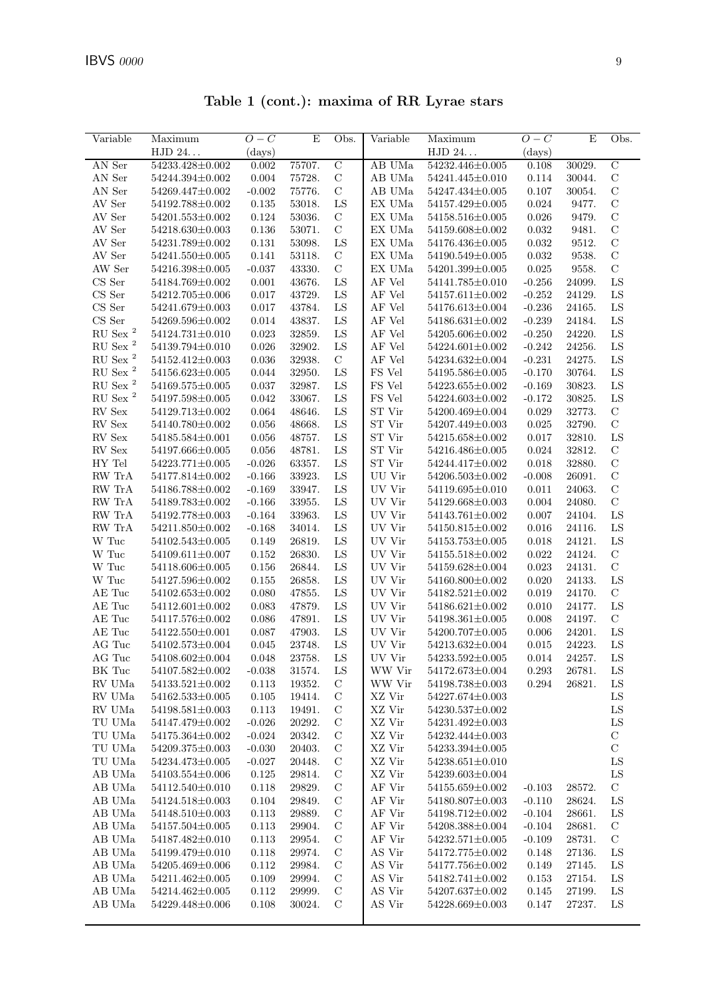Table 1 (cont.): maxima of RR Lyrae stars

| Variable                | Maximum               | $O-C$        | E      | Obs.           | Variable                | $\overline{\text{Maximum}}$ | $O-C$     | E      | Obs.          |
|-------------------------|-----------------------|--------------|--------|----------------|-------------------------|-----------------------------|-----------|--------|---------------|
|                         | ${\rm HJD}$ 24.       | $\rm (days)$ |        |                |                         | ${\rm HJD}$ 24.             | (days)    |        |               |
| AN Ser                  | 54233.428±0.002       | 0.002        | 75707. | $\overline{C}$ | AB UMa                  | 54232.446±0.005             | 0.108     | 30029. | $\mathcal{C}$ |
| AN Ser                  | 54244.394±0.002       | 0.004        | 75728. | $\mathbf C$    | AB UMa                  | 54241.445±0.010             | 0.114     | 30044. | $\mathcal{C}$ |
| AN Ser                  | 54269.447±0.002       | $-0.002$     | 75776. | $\mathbf C$    | AB UMa                  | $54247.434{\pm}0.005$       | 0.107     | 30054. | $\mathcal{C}$ |
| AV Ser                  | 54192.788±0.002       | 0.135        | 53018. | LS             | EX UMa                  | 54157.429±0.005             | 0.024     | 9477.  | $\mathcal{C}$ |
| AV Ser                  | $54201.553\pm0.002$   | 0.124        | 53036. | $\mathcal{C}$  | EX UMa                  | 54158.516±0.005             | 0.026     | 9479.  | $\mathcal{C}$ |
| AV Ser                  | 54218.630±0.003       | 0.136        | 53071. | $\mathbf C$    | EX UMa                  | 54159.608±0.002             | 0.032     | 9481.  | $\mathcal{C}$ |
| $\operatorname{AV}$ Ser | 54231.789±0.002       | 0.131        | 53098. | ${\rm LS}$     | EX UMa                  | 54176.436±0.005             | 0.032     | 9512.  | $\mathcal{C}$ |
| AV Ser                  | 54241.550 $\pm$ 0.005 | 0.141        | 53118. | $\mathcal{C}$  | EX UMa                  | 54190.549±0.005             | 0.032     | 9538.  | $\mathcal{C}$ |
| AW Ser                  | 54216.398±0.005       | $-0.037$     | 43330. | $\mathbf C$    | EX UMa                  | 54201.399±0.005             | 0.025     | 9558.  | $\mathcal{C}$ |
| $CS$ Ser                | 54184.769±0.002       | 0.001        | 43676. | LS             | AF Vel                  | 54141.785±0.010             | $-0.256$  | 24099. | LS            |
| CS Ser                  | 54212.705±0.006       | 0.017        | 43729. | LS             | AF Vel                  | $54157.611 \pm 0.002$       | $-0.252$  | 24129. | LS            |
| CS Ser                  | 54241.679±0.003       | 0.017        | 43784. | LS             | $\rm AF$ Vel            | 54176.613±0.004             | $-0.236$  | 24165. | LS            |
| $\rm CS~Ser$            | 54269.596±0.002       | 0.014        | 43837. | ${\rm LS}$     | $\rm AF$ Vel            | $54186.631 \pm 0.002$       | $-0.239$  | 24184. | ${\rm LS}$    |
| RU Sex $^2$             | $54124.731 \pm 0.010$ | 0.023        | 32859. | ${\rm LS}$     | AF Vel                  | 54205.606±0.002             | $-0.250$  | 24220. | LS            |
| $RU$ Sex $^2$           | 54139.794±0.010       | 0.026        | 32902. | LS             | AF Vel                  | $54224.601 \pm 0.002$       | $-0.242$  | 24256. | LS            |
| $\mathrm{RU}$ Sex $^2$  | 54152.412±0.003       | 0.036        | 32938. | $\mathbf C$    | AF Vel                  | 54234.632±0.004             | $-0.231$  | 24275. | LS            |
| $\mathrm{RU}$ Sex $^2$  | 54156.623±0.005       | 0.044        | 32950. | ${\rm LS}$     | FS Vel                  | 54195.586±0.005             | $-0.170$  | 30764. | LS            |
| $RU$ Sex $^2$           | 54169.575±0.005       | 0.037        | 32987. | LS             | FS Vel                  | $54223.655 \pm 0.002$       | $-0.169$  | 30823. | LS            |
| $\mathrm{RU}$ Sex $^2$  | 54197.598±0.005       | 0.042        | 33067. | LS             | FS Vel                  | 54224.603±0.002             | $-0.172$  | 30825. | LS            |
| $\mathop{\rm RV}$ Sex   | 54129.713±0.002       | 0.064        | 48646. | ${\rm LS}$     | ${\rm ST}$ Vir          | 54200.469±0.004             | 0.029     | 32773. | $\mathbf C$   |
| $\mathop{\rm RV}$ Sex   | 54140.780±0.002       | 0.056        | 48668. | ${\rm LS}$     | ST Vir                  | 54207.449±0.003             | 0.025     | 32790. | $\mathbf C$   |
| RV Sex                  | 54185.584±0.001       | 0.056        | 48757. | ${\rm LS}$     | ST Vir                  | 54215.658±0.002             | 0.017     | 32810. | LS            |
| ${\rm RV}$ Sex          | 54197.666±0.005       | 0.056        | 48781. | LS             | ${\rm ST}$ Vir          | $54216.486 \pm 0.005$       | 0.024     | 32812. | $\mathbf C$   |
| ${\rm HY}$ Tel          | 54223.771±0.005       | $-0.026$     | 63357. | LS             | ST Vir                  | 54244.417±0.002             | 0.018     | 32880. | $\mathcal{C}$ |
| RW TrA                  | 54177.814±0.002       | $-0.166$     | 33923. | LS             | UU Vir                  | 54206.503±0.002             | $-0.008$  | 26091. | $\mathcal{C}$ |
| RW TrA                  | 54186.788±0.002       | $-0.169$     | 33947. | LS             | UV Vir                  | 54119.695±0.010             | 0.011     | 24063. | $\mathcal{C}$ |
| RW TrA                  | 54189.783±0.002       | $-0.166$     | 33955. | ${\rm LS}$     | UV Vir                  | 54129.668±0.003             | 0.004     | 24080. | $\mathcal{C}$ |
| RW TrA                  | 54192.778±0.003       | $-0.164$     | 33963. | LS             | UV Vir                  | 54143.761±0.002             | 0.007     | 24104. | LS            |
| RW TrA                  | 54211.850±0.002       | $-0.168$     | 34014. | LS             | UV Vir                  | 54150.815±0.002             | 0.016     | 24116. | LS            |
| W Tuc                   | 54102.543±0.005       | 0.149        | 26819. | LS             | UV Vir                  | $54153.753{\pm}0.005$       | 0.018     | 24121. | LS            |
| W Tuc                   | $54109.611 \pm 0.007$ | 0.152        | 26830. | ${\rm LS}$     | UV Vir                  | 54155.518±0.002             | 0.022     | 24124. | $\mathbf C$   |
| W Tuc                   | 54118.606±0.005       | 0.156        | 26844. | LS             | UV Vir                  | 54159.628±0.004             | 0.023     | 24131. | $\mathcal{C}$ |
| W Tuc                   | 54127.596±0.002       | 0.155        | 26858. | ${\rm LS}$     | UV Vir                  | 54160.800±0.002             | 0.020     | 24133. | LS            |
| AE Tuc                  | $54102.653\pm0.002$   | 0.080        | 47855. | ${\rm LS}$     | UV Vir                  | 54182.521±0.002             | 0.019     | 24170. | $\mathcal{C}$ |
| $AE$ $\mathrm{Tuc}$     | $54112.601 \pm 0.002$ | 0.083        | 47879. | LS             | $\rm UV$ $\rm Vir$      | 54186.621±0.002             | 0.010     | 24177. | LS            |
| $AE$ $\mathrm{Tuc}$     | $54117.576{\pm}0.002$ | 0.086        | 47891. | ${\rm LS}$     | $\rm UV$ $\rm Vir$      | $54198.361 \pm 0.005$       | 0.008     | 24197. | $\mathbf C$   |
| $\mathrm{AE}$ Tuc       | 54122.550 $\pm$ 0.001 | 0.087        | 47903. | ${\rm LS}$     | UV Vir                  | $54200.707{\pm}0.005$       | 0.006     | 24201. | LS            |
| AG Tuc                  | $54102.573 \pm 0.004$ | 0.045        | 23748. | LS             | UV Vir                  | 54213.632±0.004             | 0.015     | 24223. | LS            |
| AG Tuc                  | 54108.602±0.004       | 0.048        | 23758. | ${\rm LS}$     | UV Vir                  | $54233.592{\pm}0.005$       | 0.014     | 24257. | LS            |
| BK Tuc                  | $54107.582{\pm}0.002$ | $-0.038$     | 31574. | LS             | WW Vir                  | $54172.673 \pm 0.004$       | $0.293\,$ | 26781. | ${\rm LS}$    |
| ${\rm RV}$ UMa          | $54133.521 \pm 0.002$ | 0.113        | 19352. | $\mathcal{C}$  | WW Vir                  | 54198.738±0.003             | 0.294     | 26821. | LS            |
| RV UMa                  | $54162.533\pm0.005$   | 0.105        | 19414. | $\mathbf C$    | XZ Vir                  | 54227.674±0.003             |           |        | LS            |
| RV UMa                  | 54198.581±0.003       | 0.113        | 19491. | $\mathcal{C}$  | XZ Vir                  | 54230.537±0.002             |           |        | LS            |
| TU UMa                  | 54147.479±0.002       | $-0.026$     | 20292. | $\mathcal{C}$  | XZ Vir                  | 54231.492±0.003             |           |        | ${\rm LS}$    |
| TU UMa                  | 54175.364±0.002       | $-0.024$     | 20342. | $\mathcal{C}$  | XZ Vir                  | 54232.444±0.003             |           |        | $\mathbf C$   |
| $\operatorname{TU}$ UMa | 54209.375±0.003       | $-0.030$     | 20403. | $\mathcal{C}$  | XZ Vir                  | 54233.394±0.005             |           |        | $\mathbf C$   |
| TU UMa                  | 54234.473±0.005       | $-0.027$     | 20448. | $\mathbf C$    | XZ Vir                  | 54238.651±0.010             |           |        | ${\rm LS}$    |
| AB UMa                  | 54103.554±0.006       | $0.125\,$    | 29814. | $\mathbf C$    | XZ Vir                  | 54239.603±0.004             |           |        | LS            |
| AB UMa                  | 54112.540±0.010       | 0.118        | 29829. | $\mathcal{C}$  | AF Vir                  | 54155.659±0.002             | $-0.103$  | 28572. | $\mathbf C$   |
| AB UMa                  | 54124.518±0.003       | 0.104        | 29849. | $\mathcal{C}$  | AF Vir                  | 54180.807±0.003             | $-0.110$  | 28624. | LS            |
| AB UMa                  | 54148.510±0.003       | 0.113        | 29889. | $\mathcal{C}$  | AF Vir                  | 54198.712±0.002             | $-0.104$  | 28661. | LS            |
| AB UMa                  | 54157.504±0.005       | 0.113        | 29904. | $\mathcal{C}$  | AF Vir                  | 54208.388±0.004             | $-0.104$  | 28681. | $\mathbf C$   |
| AB UMa                  | $54187.482{\pm}0.010$ | 0.113        | 29954. | $\mathbf C$    | AF Vir                  | $54232.571 \pm 0.005$       | $-0.109$  | 28731. | $\mathbf C$   |
| AB UMa                  | 54199.479±0.010       | 0.118        | 29974. | $\mathcal{C}$  | AS Vir                  | 54172.775±0.002             | 0.148     | 27136. | LS            |
| AB UMa                  | 54205.469±0.006       | $0.112\,$    | 29984. | $\mathcal{C}$  | $\operatorname{AS}$ Vir | 54177.756±0.002             | 0.149     | 27145. | LS            |
| AB UMa                  | 54211.462±0.005       | 0.109        | 29994. | $\mathcal{C}$  | AS Vir                  | $54182.741{\pm}0.002$       | 0.153     | 27154. | LS            |
| AB UMa                  | 54214.462±0.005       | 0.112        | 29999. | $\mathcal{C}$  | AS Vir                  | 54207.637±0.002             | 0.145     | 27199. | LS            |
| AB UMa                  | 54229.448±0.006       | 0.108        | 30024. | $\mathbf C$    | AS Vir                  | 54228.669±0.003             | 0.147     | 27237. | LS            |
|                         |                       |              |        |                |                         |                             |           |        |               |